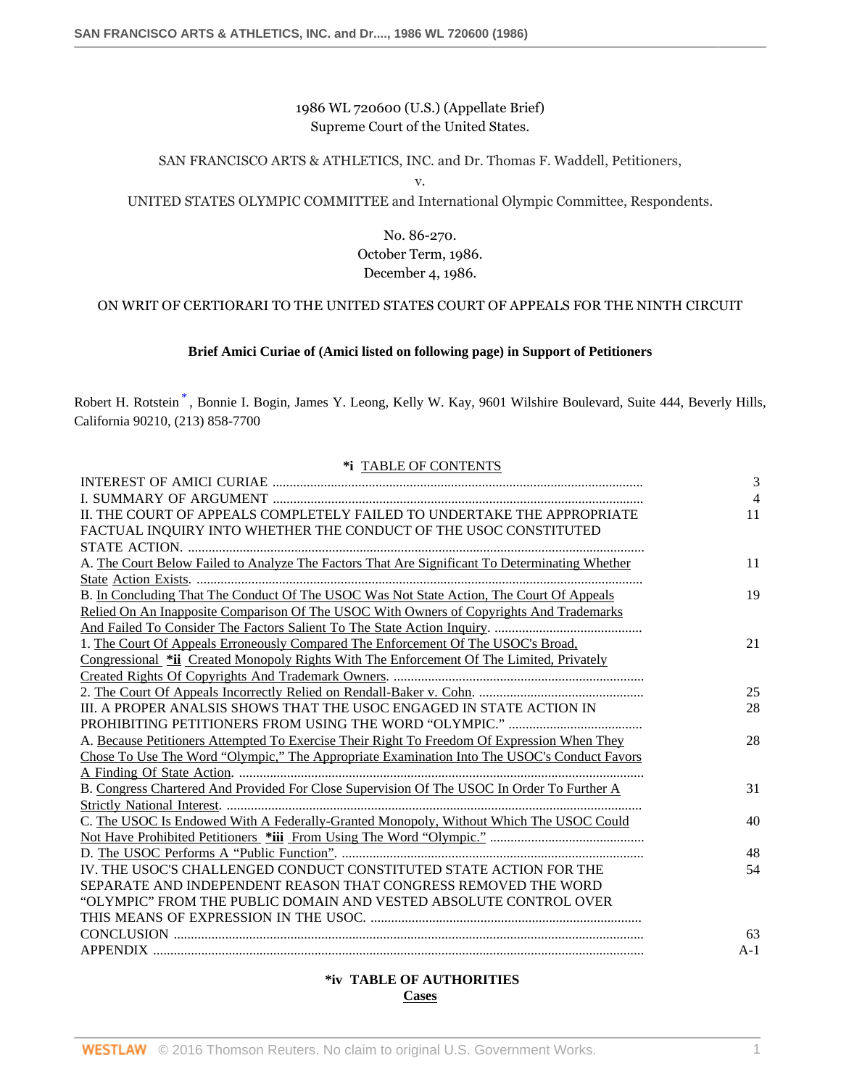1986 WL 720600 (U.S.) (Appellate Brief) Supreme Court of the United States.

# SAN FRANCISCO ARTS & ATHLETICS, INC. and Dr. Thomas F. Waddell, Petitioners,

v.

### UNITED STATES OLYMPIC COMMITTEE and International Olympic Committee, Respondents.

No. 86-270. October Term, 1986. December 4, 1986.

# ON WRIT OF CERTIORARI TO THE UNITED STATES COURT OF APPEALS FOR THE NINTH CIRCUIT

### <span id="page-0-0"></span>**Brief Amici Curiae of (Amici listed on following page) in Support of Petitioners**

Robert H. Rotstein [\\*](#page-15-0) , Bonnie I. Bogin, James Y. Leong, Kelly W. Kay, 9601 Wilshire Boulevard, Suite 444, Beverly Hills, California 90210, (213) 858-7700

#### **\*i** TABLE OF CONTENTS

|                                                                                                | 3              |
|------------------------------------------------------------------------------------------------|----------------|
|                                                                                                | $\overline{4}$ |
| II. THE COURT OF APPEALS COMPLETELY FAILED TO UNDERTAKE THE APPROPRIATE                        | 11             |
| FACTUAL INQUIRY INTO WHETHER THE CONDUCT OF THE USOC CONSTITUTED                               |                |
|                                                                                                |                |
| A. The Court Below Failed to Analyze The Factors That Are Significant To Determinating Whether | 11             |
|                                                                                                |                |
| B. In Concluding That The Conduct Of The USOC Was Not State Action, The Court Of Appeals       | 19             |
| Relied On An Inapposite Comparison Of The USOC With Owners of Copyrights And Trademarks        |                |
|                                                                                                |                |
| 1. The Court Of Appeals Erroneously Compared The Enforcement Of The USOC's Broad,              | 21             |
| Congressional *ii Created Monopoly Rights With The Enforcement Of The Limited, Privately       |                |
|                                                                                                |                |
|                                                                                                | 25             |
| III. A PROPER ANALSIS SHOWS THAT THE USOC ENGAGED IN STATE ACTION IN                           | 28             |
|                                                                                                |                |
| A. Because Petitioners Attempted To Exercise Their Right To Freedom Of Expression When They    | 28             |
| Chose To Use The Word "Olympic," The Appropriate Examination Into The USOC's Conduct Favors    |                |
|                                                                                                |                |
| B. Congress Chartered And Provided For Close Supervision Of The USOC In Order To Further A     | 31             |
|                                                                                                |                |
| C. The USOC Is Endowed With A Federally-Granted Monopoly, Without Which The USOC Could         | 40             |
|                                                                                                |                |
|                                                                                                | 48             |
| IV. THE USOC'S CHALLENGED CONDUCT CONSTITUTED STATE ACTION FOR THE                             | 54             |
| SEPARATE AND INDEPENDENT REASON THAT CONGRESS REMOVED THE WORD                                 |                |
| "OLYMPIC" FROM THE PUBLIC DOMAIN AND VESTED ABSOLUTE CONTROL OVER                              |                |
|                                                                                                |                |
|                                                                                                | 63             |
|                                                                                                | $A-1$          |

# **\*iv TABLE OF AUTHORITIES Cases**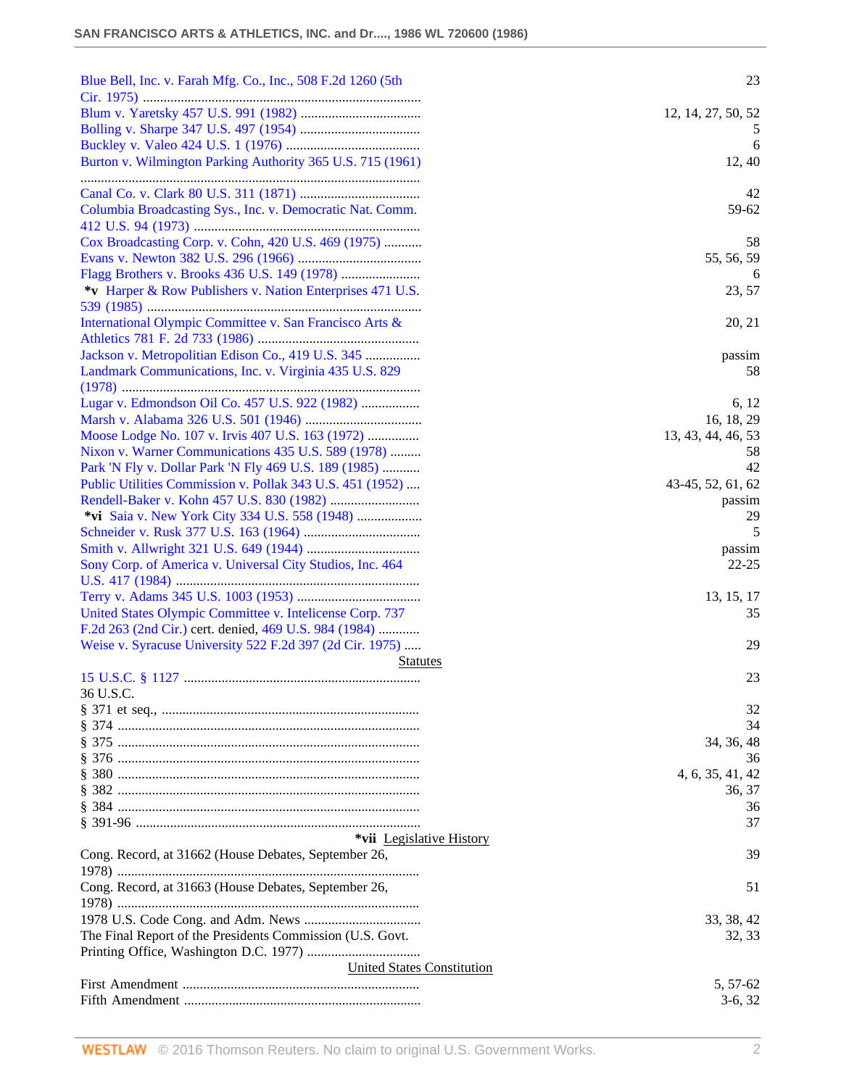| Blue Bell, Inc. v. Farah Mfg. Co., Inc., 508 F.2d 1260 (5th | 23                    |
|-------------------------------------------------------------|-----------------------|
|                                                             |                       |
|                                                             | 12, 14, 27, 50, 52    |
|                                                             |                       |
|                                                             | 6                     |
| Burton v. Wilmington Parking Authority 365 U.S. 715 (1961)  | 12, 40                |
|                                                             | 42                    |
| Columbia Broadcasting Sys., Inc. v. Democratic Nat. Comm.   | 59-62                 |
| Cox Broadcasting Corp. v. Cohn, 420 U.S. 469 (1975)         | 58                    |
|                                                             | 55, 56, 59            |
|                                                             | 6                     |
| *v Harper & Row Publishers v. Nation Enterprises 471 U.S.   | 23, 57                |
|                                                             |                       |
| International Olympic Committee v. San Francisco Arts &     | 20, 21                |
|                                                             |                       |
| Jackson v. Metropolitian Edison Co., 419 U.S. 345           | passim                |
| Landmark Communications, Inc. v. Virginia 435 U.S. 829      | 58                    |
| Lugar v. Edmondson Oil Co. 457 U.S. 922 (1982)              | 6, 12                 |
|                                                             | 16, 18, 29            |
| Moose Lodge No. 107 v. Irvis 407 U.S. 163 (1972)            | 13, 43, 44, 46, 53    |
| Nixon v. Warner Communications 435 U.S. 589 (1978)          | 58                    |
| Park 'N Fly v. Dollar Park 'N Fly 469 U.S. 189 (1985)       | 42                    |
| Public Utilities Commission v. Pollak 343 U.S. 451 (1952)   | 43-45, 52, 61, 62     |
|                                                             |                       |
|                                                             | passim<br>29          |
|                                                             | 5                     |
|                                                             |                       |
| Sony Corp. of America v. Universal City Studios, Inc. 464   | passim<br>$22 - 25$   |
|                                                             |                       |
|                                                             |                       |
|                                                             | 13, 15, 17            |
| United States Olympic Committee v. Intelicense Corp. 737    | 35                    |
| F.2d 263 (2nd Cir.) cert. denied, 469 U.S. 984 (1984)       |                       |
| Weise v. Syracuse University 522 F.2d 397 (2d Cir. 1975)    | 29                    |
| <b>Statutes</b>                                             |                       |
|                                                             | 23                    |
| 36 U.S.C.                                                   |                       |
|                                                             | 32                    |
|                                                             | 34                    |
|                                                             | 34, 36, 48            |
|                                                             | 36                    |
|                                                             | 4, 6, 35, 41, 42      |
|                                                             | 36, 37                |
| § 384 ……………………………………………………………………………                         | 36                    |
|                                                             |                       |
|                                                             | 37                    |
| *vii Legislative History                                    |                       |
| Cong. Record, at 31662 (House Debates, September 26,        | 39                    |
|                                                             | 51                    |
| Cong. Record, at 31663 (House Debates, September 26,        |                       |
|                                                             |                       |
|                                                             | 33, 38, 42<br>32, 33  |
| The Final Report of the Presidents Commission (U.S. Govt.)  |                       |
| <b>United States Constitution</b>                           |                       |
|                                                             | 5, 57-62<br>$3-6, 32$ |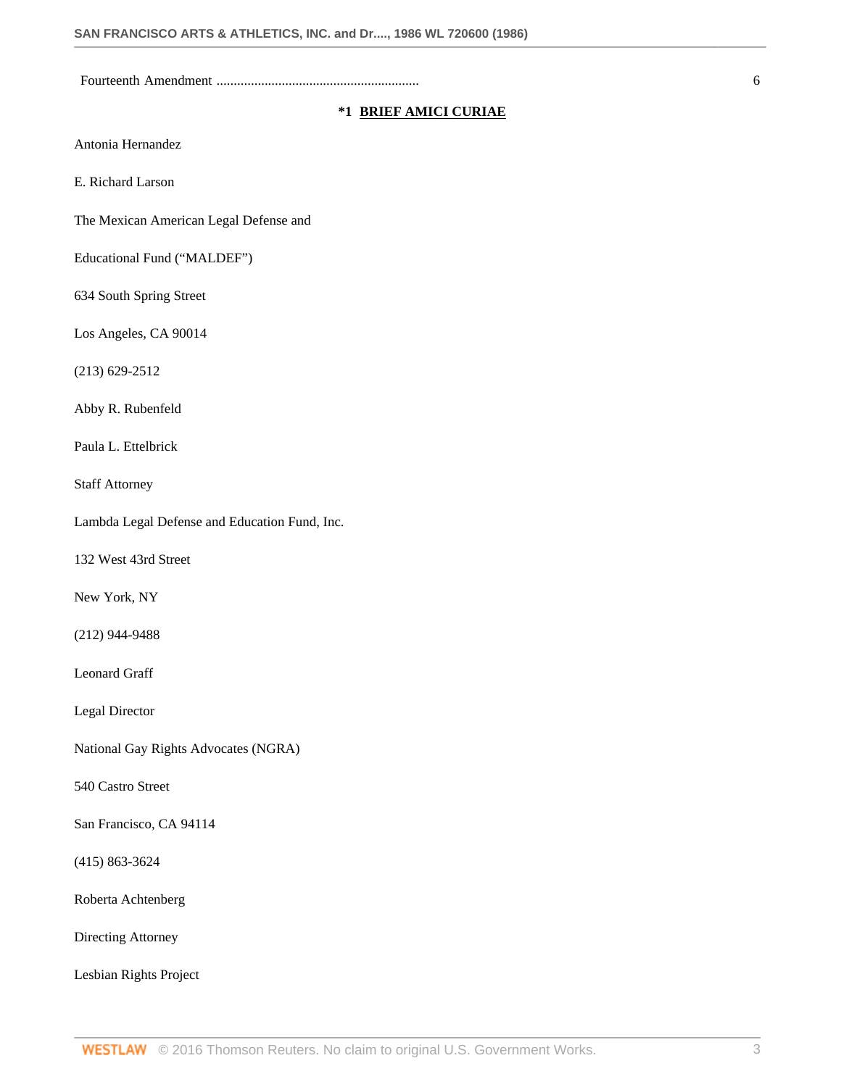Fourteenth Amendment ........................................................... 6

### **\*1 BRIEF AMICI CURIAE**

Antonia Hernandez

E. Richard Larson

The Mexican American Legal Defense and

Educational Fund ("MALDEF")

634 South Spring Street

Los Angeles, CA 90014

(213) 629-2512

Abby R. Rubenfeld

Paula L. Ettelbrick

Staff Attorney

Lambda Legal Defense and Education Fund, Inc.

132 West 43rd Street

New York, NY

(212) 944-9488

Leonard Graff

Legal Director

National Gay Rights Advocates (NGRA)

540 Castro Street

San Francisco, CA 94114

(415) 863-3624

Roberta Achtenberg

Directing Attorney

Lesbian Rights Project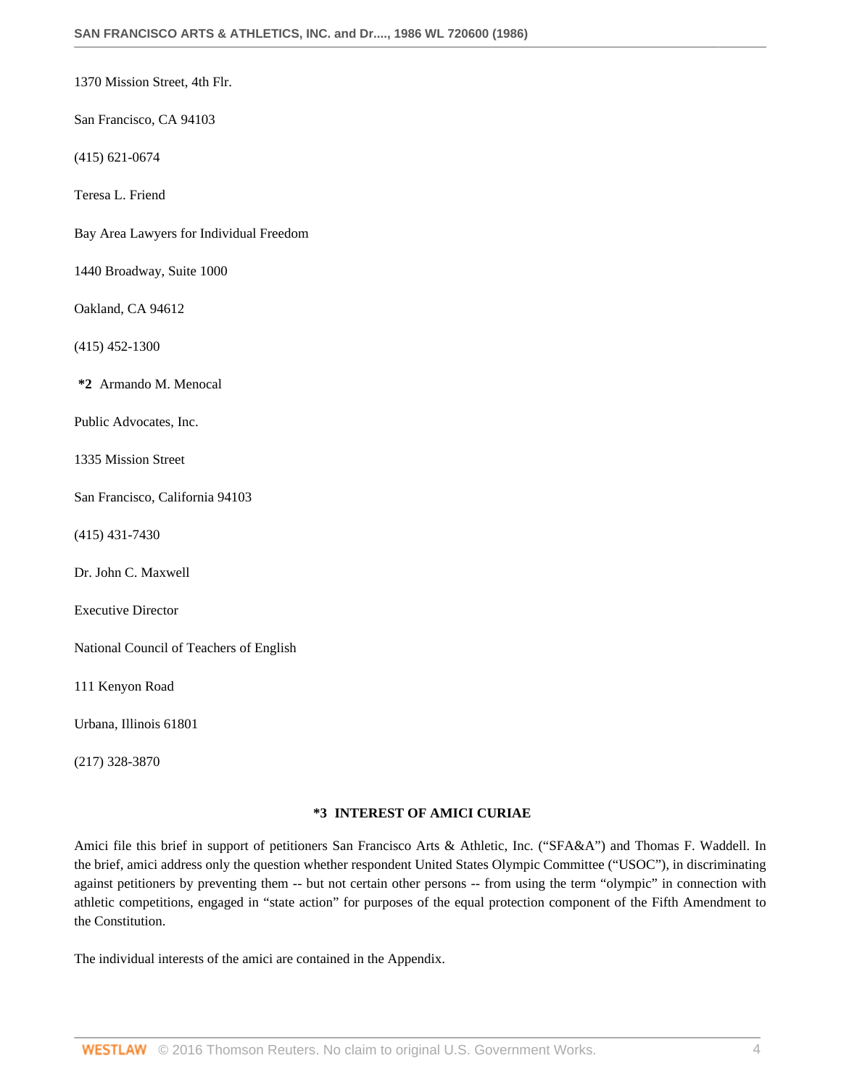1370 Mission Street, 4th Flr.

San Francisco, CA 94103

(415) 621-0674

Teresa L. Friend

Bay Area Lawyers for Individual Freedom

1440 Broadway, Suite 1000

Oakland, CA 94612

(415) 452-1300

**\*2** Armando M. Menocal

Public Advocates, Inc.

1335 Mission Street

San Francisco, California 94103

(415) 431-7430

Dr. John C. Maxwell

Executive Director

National Council of Teachers of English

111 Kenyon Road

Urbana, Illinois 61801

(217) 328-3870

### **\*3 INTEREST OF AMICI CURIAE**

Amici file this brief in support of petitioners San Francisco Arts & Athletic, Inc. ("SFA&A") and Thomas F. Waddell. In the brief, amici address only the question whether respondent United States Olympic Committee ("USOC"), in discriminating against petitioners by preventing them -- but not certain other persons -- from using the term "olympic" in connection with athletic competitions, engaged in "state action" for purposes of the equal protection component of the Fifth Amendment to the Constitution.

The individual interests of the amici are contained in the Appendix.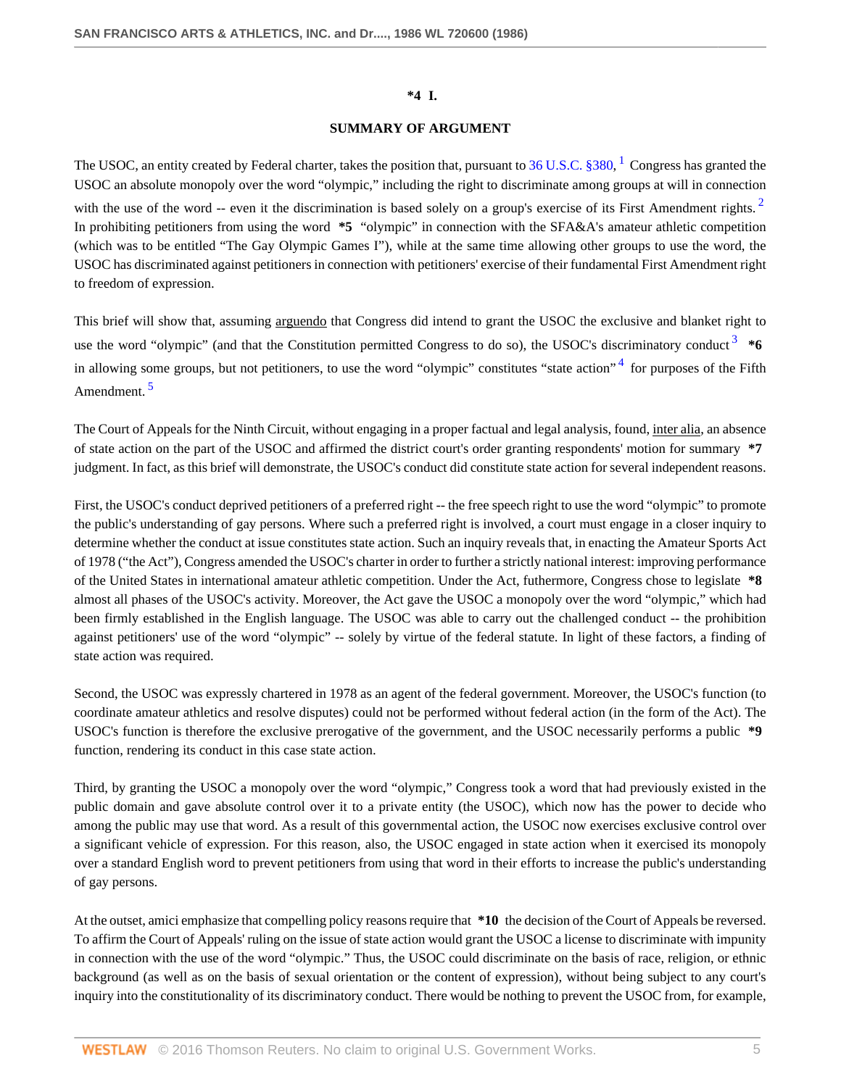#### <span id="page-4-3"></span><span id="page-4-2"></span><span id="page-4-1"></span><span id="page-4-0"></span>**\*4 I.**

### **SUMMARY OF ARGUMENT**

The USOC, an entity created by Federal charter, takes the position that, pursuant to  $36$  U.S.C.  $3380$ ,  $^1$  $^1$  Congress has granted the USOC an absolute monopoly over the word "olympic," including the right to discriminate among groups at will in connection with the use of the word -- even it the discrimination is based solely on a group's exercise of its First Amendment rights.<sup>[2](#page-15-2)</sup> In prohibiting petitioners from using the word **\*5** "olympic" in connection with the SFA&A's amateur athletic competition (which was to be entitled "The Gay Olympic Games I"), while at the same time allowing other groups to use the word, the USOC has discriminated against petitioners in connection with petitioners' exercise of their fundamental First Amendment right to freedom of expression.

This brief will show that, assuming arguendo that Congress did intend to grant the USOC the exclusive and blanket right to use the word "olympic" (and that the Constitution permitted Congress to do so), the USOC's discriminatory conduct<sup>[3](#page-15-3)</sup> \*6 in allowing some groups, but not petitioners, to use the word "olympic" constitutes "state action"<sup>[4](#page-15-4)</sup> for purposes of the Fifth Amendment.<sup>[5](#page-15-5)</sup>

<span id="page-4-4"></span>The Court of Appeals for the Ninth Circuit, without engaging in a proper factual and legal analysis, found, inter alia, an absence of state action on the part of the USOC and affirmed the district court's order granting respondents' motion for summary **\*7** judgment. In fact, as this brief will demonstrate, the USOC's conduct did constitute state action for several independent reasons.

First, the USOC's conduct deprived petitioners of a preferred right -- the free speech right to use the word "olympic" to promote the public's understanding of gay persons. Where such a preferred right is involved, a court must engage in a closer inquiry to determine whether the conduct at issue constitutes state action. Such an inquiry reveals that, in enacting the Amateur Sports Act of 1978 ("the Act"), Congress amended the USOC's charter in order to further a strictly national interest: improving performance of the United States in international amateur athletic competition. Under the Act, futhermore, Congress chose to legislate **\*8** almost all phases of the USOC's activity. Moreover, the Act gave the USOC a monopoly over the word "olympic," which had been firmly established in the English language. The USOC was able to carry out the challenged conduct -- the prohibition against petitioners' use of the word "olympic" -- solely by virtue of the federal statute. In light of these factors, a finding of state action was required.

Second, the USOC was expressly chartered in 1978 as an agent of the federal government. Moreover, the USOC's function (to coordinate amateur athletics and resolve disputes) could not be performed without federal action (in the form of the Act). The USOC's function is therefore the exclusive prerogative of the government, and the USOC necessarily performs a public **\*9** function, rendering its conduct in this case state action.

Third, by granting the USOC a monopoly over the word "olympic," Congress took a word that had previously existed in the public domain and gave absolute control over it to a private entity (the USOC), which now has the power to decide who among the public may use that word. As a result of this governmental action, the USOC now exercises exclusive control over a significant vehicle of expression. For this reason, also, the USOC engaged in state action when it exercised its monopoly over a standard English word to prevent petitioners from using that word in their efforts to increase the public's understanding of gay persons.

At the outset, amici emphasize that compelling policy reasons require that **\*10** the decision of the Court of Appeals be reversed. To affirm the Court of Appeals' ruling on the issue of state action would grant the USOC a license to discriminate with impunity in connection with the use of the word "olympic." Thus, the USOC could discriminate on the basis of race, religion, or ethnic background (as well as on the basis of sexual orientation or the content of expression), without being subject to any court's inquiry into the constitutionality of its discriminatory conduct. There would be nothing to prevent the USOC from, for example,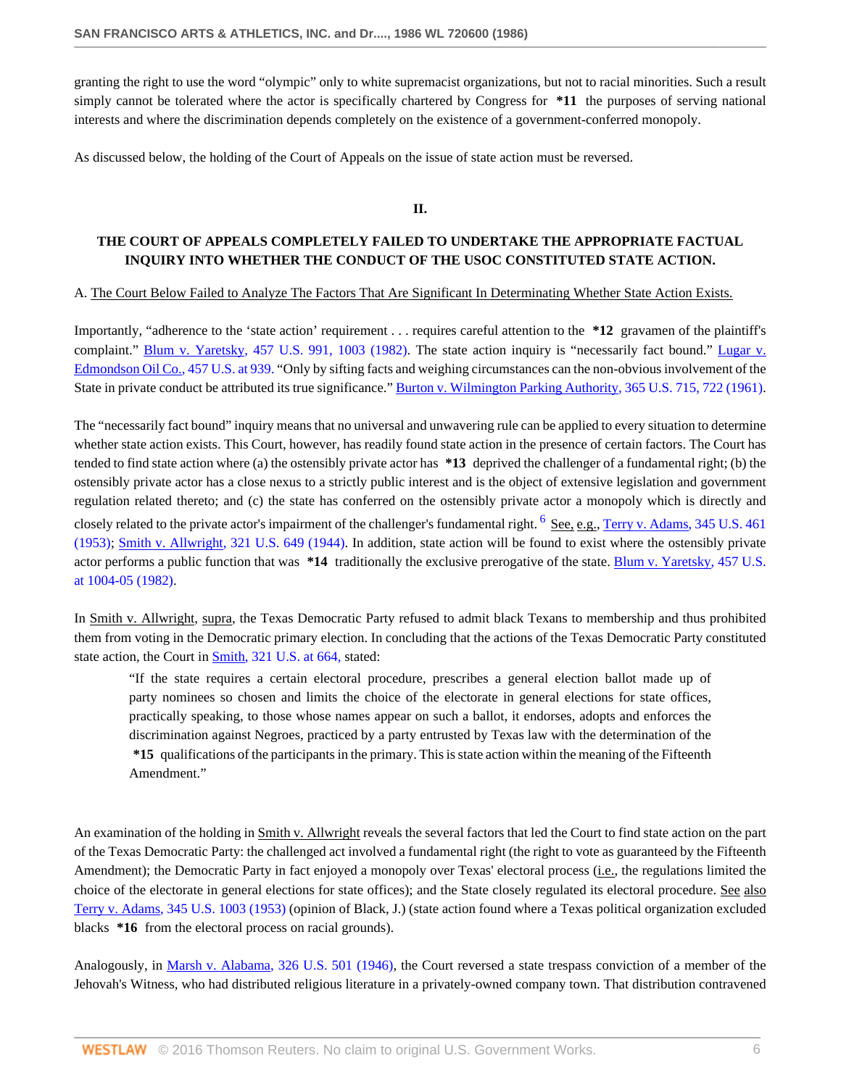granting the right to use the word "olympic" only to white supremacist organizations, but not to racial minorities. Such a result simply cannot be tolerated where the actor is specifically chartered by Congress for **\*11** the purposes of serving national interests and where the discrimination depends completely on the existence of a government-conferred monopoly.

As discussed below, the holding of the Court of Appeals on the issue of state action must be reversed.

<span id="page-5-0"></span>**II.**

# **THE COURT OF APPEALS COMPLETELY FAILED TO UNDERTAKE THE APPROPRIATE FACTUAL INQUIRY INTO WHETHER THE CONDUCT OF THE USOC CONSTITUTED STATE ACTION.**

### A. The Court Below Failed to Analyze The Factors That Are Significant In Determinating Whether State Action Exists.

Importantly, "adherence to the 'state action' requirement . . . requires careful attention to the **\*12** gravamen of the plaintiff's complaint." [Blum v. Yaretsky, 457 U.S. 991, 1003 \(1982\).](http://www.westlaw.com/Link/Document/FullText?findType=Y&serNum=1982128849&pubNum=780&originatingDoc=Ic7cc1dd16be711d881a4d6ea8dd6dcd8&refType=RP&fi=co_pp_sp_780_1003&originationContext=document&vr=3.0&rs=cblt1.0&transitionType=DocumentItem&contextData=(sc.Search)#co_pp_sp_780_1003) The state action inquiry is "necessarily fact bound." [Lugar v.](http://www.westlaw.com/Link/Document/FullText?findType=Y&serNum=1982128847&pubNum=780&originatingDoc=Ic7cc1dd16be711d881a4d6ea8dd6dcd8&refType=RP&fi=co_pp_sp_780_939&originationContext=document&vr=3.0&rs=cblt1.0&transitionType=DocumentItem&contextData=(sc.Search)#co_pp_sp_780_939) [Edmondson Oil Co., 457 U.S. at 939.](http://www.westlaw.com/Link/Document/FullText?findType=Y&serNum=1982128847&pubNum=780&originatingDoc=Ic7cc1dd16be711d881a4d6ea8dd6dcd8&refType=RP&fi=co_pp_sp_780_939&originationContext=document&vr=3.0&rs=cblt1.0&transitionType=DocumentItem&contextData=(sc.Search)#co_pp_sp_780_939) "Only by sifting facts and weighing circumstances can the non-obvious involvement of the State in private conduct be attributed its true significance." [Burton v. Wilmington Parking Authority, 365 U.S. 715, 722 \(1961\).](http://www.westlaw.com/Link/Document/FullText?findType=Y&serNum=1961100551&pubNum=780&originatingDoc=Ic7cc1dd16be711d881a4d6ea8dd6dcd8&refType=RP&fi=co_pp_sp_780_722&originationContext=document&vr=3.0&rs=cblt1.0&transitionType=DocumentItem&contextData=(sc.Search)#co_pp_sp_780_722)

The "necessarily fact bound" inquiry means that no universal and unwavering rule can be applied to every situation to determine whether state action exists. This Court, however, has readily found state action in the presence of certain factors. The Court has tended to find state action where (a) the ostensibly private actor has **\*13** deprived the challenger of a fundamental right; (b) the ostensibly private actor has a close nexus to a strictly public interest and is the object of extensive legislation and government regulation related thereto; and (c) the state has conferred on the ostensibly private actor a monopoly which is directly and closely related to the private actor's impairment of the challenger's fundamental right. <sup>[6](#page-15-6)</sup> See, e.g., [Terry v. Adams, 345 U.S. 461](http://www.westlaw.com/Link/Document/FullText?findType=Y&serNum=1953119814&pubNum=780&originatingDoc=Ic7cc1dd16be711d881a4d6ea8dd6dcd8&refType=RP&originationContext=document&vr=3.0&rs=cblt1.0&transitionType=DocumentItem&contextData=(sc.Search)) [\(1953\);](http://www.westlaw.com/Link/Document/FullText?findType=Y&serNum=1953119814&pubNum=780&originatingDoc=Ic7cc1dd16be711d881a4d6ea8dd6dcd8&refType=RP&originationContext=document&vr=3.0&rs=cblt1.0&transitionType=DocumentItem&contextData=(sc.Search)) [Smith v. Allwright, 321 U.S. 649 \(1944\)](http://www.westlaw.com/Link/Document/FullText?findType=Y&serNum=1944117055&pubNum=780&originatingDoc=Ic7cc1dd16be711d881a4d6ea8dd6dcd8&refType=RP&originationContext=document&vr=3.0&rs=cblt1.0&transitionType=DocumentItem&contextData=(sc.Search)). In addition, state action will be found to exist where the ostensibly private actor performs a public function that was **\*14** traditionally the exclusive prerogative of the state. [Blum v. Yaretsky, 457 U.S.](http://www.westlaw.com/Link/Document/FullText?findType=Y&serNum=1982128849&pubNum=780&originatingDoc=Ic7cc1dd16be711d881a4d6ea8dd6dcd8&refType=RP&fi=co_pp_sp_780_1004&originationContext=document&vr=3.0&rs=cblt1.0&transitionType=DocumentItem&contextData=(sc.Search)#co_pp_sp_780_1004) [at 1004-05 \(1982\)](http://www.westlaw.com/Link/Document/FullText?findType=Y&serNum=1982128849&pubNum=780&originatingDoc=Ic7cc1dd16be711d881a4d6ea8dd6dcd8&refType=RP&fi=co_pp_sp_780_1004&originationContext=document&vr=3.0&rs=cblt1.0&transitionType=DocumentItem&contextData=(sc.Search)#co_pp_sp_780_1004).

In Smith v. Allwright, supra, the Texas Democratic Party refused to admit black Texans to membership and thus prohibited them from voting in the Democratic primary election. In concluding that the actions of the Texas Democratic Party constituted state action, the Court in [Smith, 321 U.S. at 664,](http://www.westlaw.com/Link/Document/FullText?findType=Y&serNum=1944117055&pubNum=780&originatingDoc=Ic7cc1dd16be711d881a4d6ea8dd6dcd8&refType=RP&fi=co_pp_sp_780_664&originationContext=document&vr=3.0&rs=cblt1.0&transitionType=DocumentItem&contextData=(sc.Search)#co_pp_sp_780_664) stated:

"If the state requires a certain electoral procedure, prescribes a general election ballot made up of party nominees so chosen and limits the choice of the electorate in general elections for state offices, practically speaking, to those whose names appear on such a ballot, it endorses, adopts and enforces the discrimination against Negroes, practiced by a party entrusted by Texas law with the determination of the **\*15** qualifications of the participants in the primary. This is state action within the meaning of the Fifteenth Amendment."

An examination of the holding in Smith v. Allwright reveals the several factors that led the Court to find state action on the part of the Texas Democratic Party: the challenged act involved a fundamental right (the right to vote as guaranteed by the Fifteenth Amendment); the Democratic Party in fact enjoyed a monopoly over Texas' electoral process (*i.e.*, the regulations limited the choice of the electorate in general elections for state offices); and the State closely regulated its electoral procedure. See also [Terry v. Adams, 345 U.S. 1003 \(1953\)](http://www.westlaw.com/Link/Document/FullText?findType=Y&serNum=1953202613&pubNum=780&originatingDoc=Ic7cc1dd16be711d881a4d6ea8dd6dcd8&refType=RP&originationContext=document&vr=3.0&rs=cblt1.0&transitionType=DocumentItem&contextData=(sc.Search)) (opinion of Black, J.) (state action found where a Texas political organization excluded blacks **\*16** from the electoral process on racial grounds).

Analogously, in [Marsh v. Alabama, 326 U.S. 501 \(1946\)](http://www.westlaw.com/Link/Document/FullText?findType=Y&serNum=1946114356&pubNum=780&originatingDoc=Ic7cc1dd16be711d881a4d6ea8dd6dcd8&refType=RP&originationContext=document&vr=3.0&rs=cblt1.0&transitionType=DocumentItem&contextData=(sc.Search)), the Court reversed a state trespass conviction of a member of the Jehovah's Witness, who had distributed religious literature in a privately-owned company town. That distribution contravened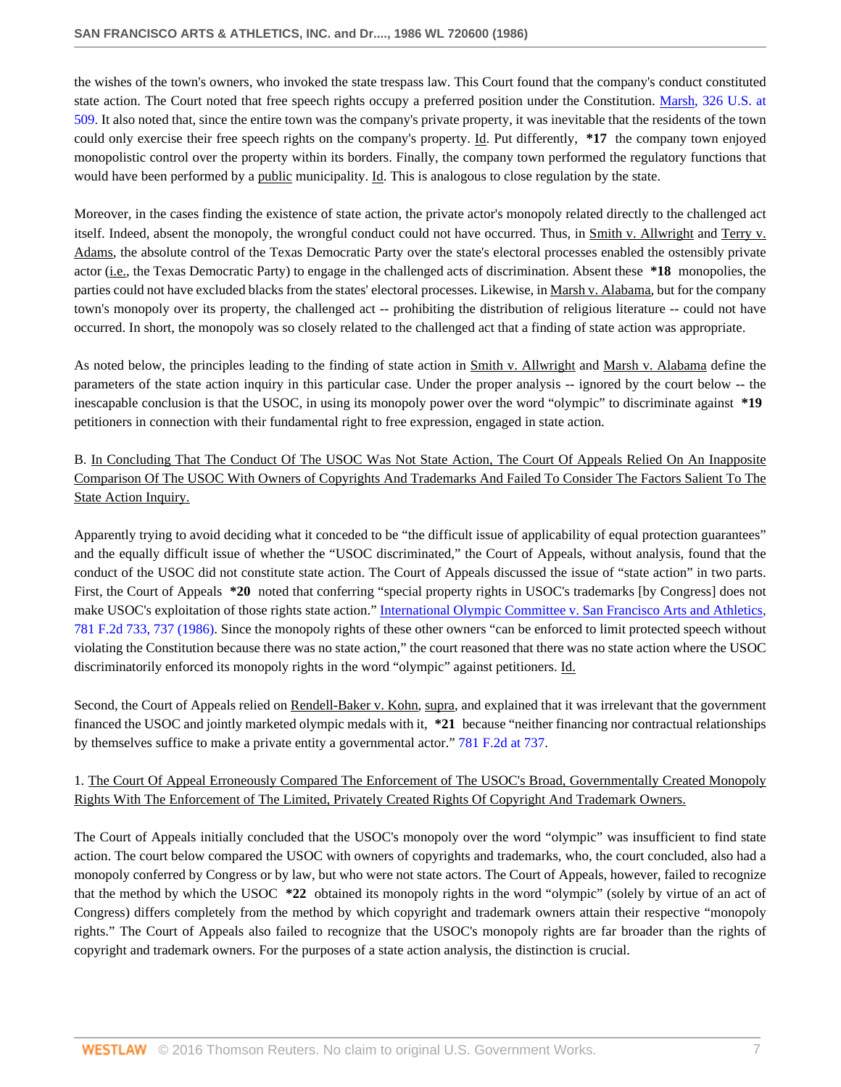the wishes of the town's owners, who invoked the state trespass law. This Court found that the company's conduct constituted state action. The Court noted that free speech rights occupy a preferred position under the Constitution. [Marsh, 326 U.S. at](http://www.westlaw.com/Link/Document/FullText?findType=Y&serNum=1946114356&pubNum=780&originatingDoc=Ic7cc1dd16be711d881a4d6ea8dd6dcd8&refType=RP&fi=co_pp_sp_780_509&originationContext=document&vr=3.0&rs=cblt1.0&transitionType=DocumentItem&contextData=(sc.Search)#co_pp_sp_780_509) [509.](http://www.westlaw.com/Link/Document/FullText?findType=Y&serNum=1946114356&pubNum=780&originatingDoc=Ic7cc1dd16be711d881a4d6ea8dd6dcd8&refType=RP&fi=co_pp_sp_780_509&originationContext=document&vr=3.0&rs=cblt1.0&transitionType=DocumentItem&contextData=(sc.Search)#co_pp_sp_780_509) It also noted that, since the entire town was the company's private property, it was inevitable that the residents of the town could only exercise their free speech rights on the company's property. Id. Put differently, **\*17** the company town enjoyed monopolistic control over the property within its borders. Finally, the company town performed the regulatory functions that would have been performed by a public municipality. Id. This is analogous to close regulation by the state.

Moreover, in the cases finding the existence of state action, the private actor's monopoly related directly to the challenged act itself. Indeed, absent the monopoly, the wrongful conduct could not have occurred. Thus, in Smith v. Allwright and Terry v. Adams, the absolute control of the Texas Democratic Party over the state's electoral processes enabled the ostensibly private actor (i.e., the Texas Democratic Party) to engage in the challenged acts of discrimination. Absent these **\*18** monopolies, the parties could not have excluded blacks from the states' electoral processes. Likewise, in Marsh v. Alabama, but for the company town's monopoly over its property, the challenged act -- prohibiting the distribution of religious literature -- could not have occurred. In short, the monopoly was so closely related to the challenged act that a finding of state action was appropriate.

As noted below, the principles leading to the finding of state action in Smith v. Allwright and Marsh v. Alabama define the parameters of the state action inquiry in this particular case. Under the proper analysis -- ignored by the court below -- the inescapable conclusion is that the USOC, in using its monopoly power over the word "olympic" to discriminate against **\*19** petitioners in connection with their fundamental right to free expression, engaged in state action.

B. In Concluding That The Conduct Of The USOC Was Not State Action, The Court Of Appeals Relied On An Inapposite Comparison Of The USOC With Owners of Copyrights And Trademarks And Failed To Consider The Factors Salient To The State Action Inquiry.

Apparently trying to avoid deciding what it conceded to be "the difficult issue of applicability of equal protection guarantees" and the equally difficult issue of whether the "USOC discriminated," the Court of Appeals, without analysis, found that the conduct of the USOC did not constitute state action. The Court of Appeals discussed the issue of "state action" in two parts. First, the Court of Appeals **\*20** noted that conferring "special property rights in USOC's trademarks [by Congress] does not make USOC's exploitation of those rights state action." [International Olympic Committee v. San Francisco Arts and Athletics,](http://www.westlaw.com/Link/Document/FullText?findType=Y&serNum=1986104716&pubNum=350&originatingDoc=Ic7cc1dd16be711d881a4d6ea8dd6dcd8&refType=RP&fi=co_pp_sp_350_737&originationContext=document&vr=3.0&rs=cblt1.0&transitionType=DocumentItem&contextData=(sc.Search)#co_pp_sp_350_737) [781 F.2d 733, 737 \(1986\).](http://www.westlaw.com/Link/Document/FullText?findType=Y&serNum=1986104716&pubNum=350&originatingDoc=Ic7cc1dd16be711d881a4d6ea8dd6dcd8&refType=RP&fi=co_pp_sp_350_737&originationContext=document&vr=3.0&rs=cblt1.0&transitionType=DocumentItem&contextData=(sc.Search)#co_pp_sp_350_737) Since the monopoly rights of these other owners "can be enforced to limit protected speech without violating the Constitution because there was no state action," the court reasoned that there was no state action where the USOC discriminatorily enforced its monopoly rights in the word "olympic" against petitioners. Id.

Second, the Court of Appeals relied on Rendell-Baker v. Kohn, supra, and explained that it was irrelevant that the government financed the USOC and jointly marketed olympic medals with it, **\*21** because "neither financing nor contractual relationships by themselves suffice to make a private entity a governmental actor." [781 F.2d at 737.](http://www.westlaw.com/Link/Document/FullText?findType=Y&serNum=1986104716&pubNum=350&originatingDoc=Ic7cc1dd16be711d881a4d6ea8dd6dcd8&refType=RP&fi=co_pp_sp_350_737&originationContext=document&vr=3.0&rs=cblt1.0&transitionType=DocumentItem&contextData=(sc.Search)#co_pp_sp_350_737)

# 1. The Court Of Appeal Erroneously Compared The Enforcement of The USOC's Broad, Governmentally Created Monopoly Rights With The Enforcement of The Limited, Privately Created Rights Of Copyright And Trademark Owners.

The Court of Appeals initially concluded that the USOC's monopoly over the word "olympic" was insufficient to find state action. The court below compared the USOC with owners of copyrights and trademarks, who, the court concluded, also had a monopoly conferred by Congress or by law, but who were not state actors. The Court of Appeals, however, failed to recognize that the method by which the USOC **\*22** obtained its monopoly rights in the word "olympic" (solely by virtue of an act of Congress) differs completely from the method by which copyright and trademark owners attain their respective "monopoly rights." The Court of Appeals also failed to recognize that the USOC's monopoly rights are far broader than the rights of copyright and trademark owners. For the purposes of a state action analysis, the distinction is crucial.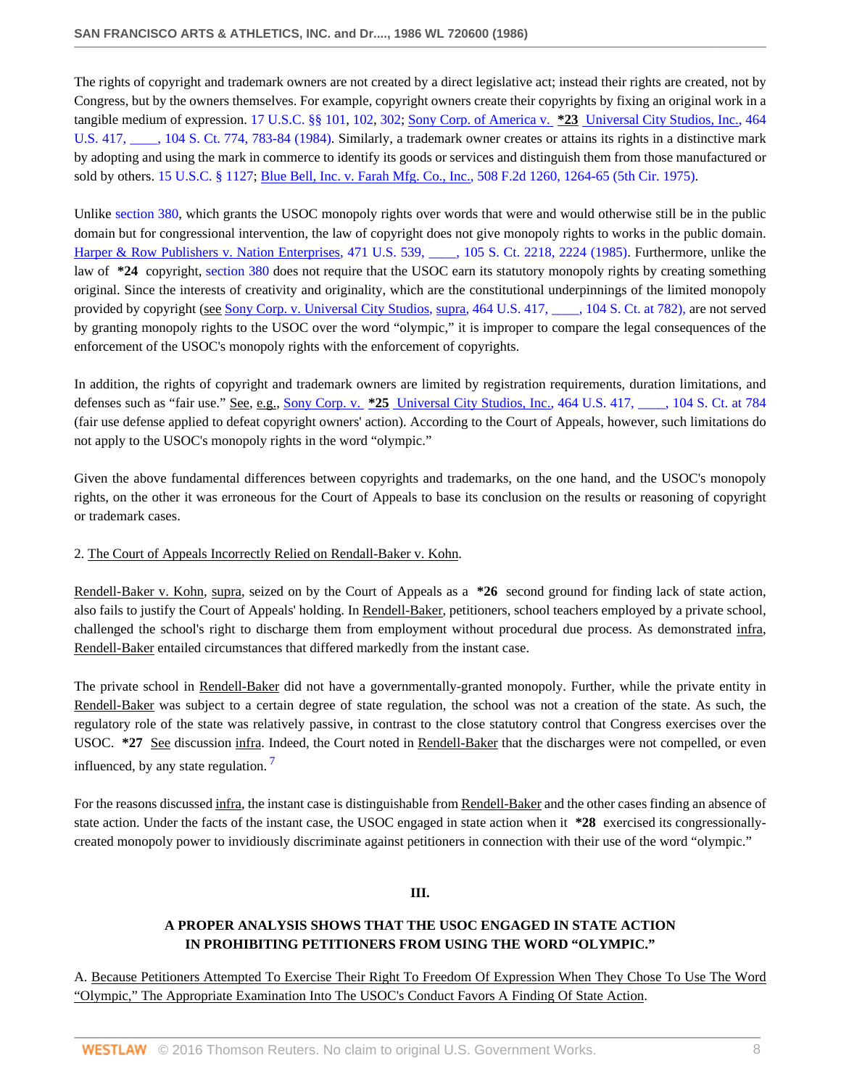The rights of copyright and trademark owners are not created by a direct legislative act; instead their rights are created, not by Congress, but by the owners themselves. For example, copyright owners create their copyrights by fixing an original work in a tangible medium of expression. [17 U.S.C. §§ 101](http://www.westlaw.com/Link/Document/FullText?findType=L&pubNum=1000546&cite=17USCAS101&originatingDoc=Ic7cc1dd16be711d881a4d6ea8dd6dcd8&refType=LQ&originationContext=document&vr=3.0&rs=cblt1.0&transitionType=DocumentItem&contextData=(sc.Search)), [102](http://www.westlaw.com/Link/Document/FullText?findType=L&pubNum=1000546&cite=17USCAS102&originatingDoc=Ic7cc1dd16be711d881a4d6ea8dd6dcd8&refType=LQ&originationContext=document&vr=3.0&rs=cblt1.0&transitionType=DocumentItem&contextData=(sc.Search)), [302](http://www.westlaw.com/Link/Document/FullText?findType=L&pubNum=1000546&cite=17USCAS302&originatingDoc=Ic7cc1dd16be711d881a4d6ea8dd6dcd8&refType=LQ&originationContext=document&vr=3.0&rs=cblt1.0&transitionType=DocumentItem&contextData=(sc.Search)); Sony Corp. of America v. **\*23** [Universal City Studios, Inc., 464](http://www.westlaw.com/Link/Document/FullText?findType=Y&serNum=1984103021&pubNum=708&originatingDoc=Ic7cc1dd16be711d881a4d6ea8dd6dcd8&refType=RP&fi=co_pp_sp_708_783&originationContext=document&vr=3.0&rs=cblt1.0&transitionType=DocumentItem&contextData=(sc.Search)#co_pp_sp_708_783) U.S. 417, and 104 S. Ct. 774, 783-84 (1984). Similarly, a trademark owner creates or attains its rights in a distinctive mark by adopting and using the mark in commerce to identify its goods or services and distinguish them from those manufactured or sold by others. [15 U.S.C. § 1127;](http://www.westlaw.com/Link/Document/FullText?findType=L&pubNum=1000546&cite=15USCAS1127&originatingDoc=Ic7cc1dd16be711d881a4d6ea8dd6dcd8&refType=LQ&originationContext=document&vr=3.0&rs=cblt1.0&transitionType=DocumentItem&contextData=(sc.Search)) [Blue Bell, Inc. v. Farah Mfg. Co., Inc., 508 F.2d 1260, 1264-65 \(5th Cir. 1975\)](http://www.westlaw.com/Link/Document/FullText?findType=Y&serNum=1975109258&pubNum=350&originatingDoc=Ic7cc1dd16be711d881a4d6ea8dd6dcd8&refType=RP&fi=co_pp_sp_350_1264&originationContext=document&vr=3.0&rs=cblt1.0&transitionType=DocumentItem&contextData=(sc.Search)#co_pp_sp_350_1264).

Unlike [section 380](http://www.westlaw.com/Link/Document/FullText?findType=L&pubNum=1000546&cite=36USCAS380&originatingDoc=Ic7cc1dd16be711d881a4d6ea8dd6dcd8&refType=LQ&originationContext=document&vr=3.0&rs=cblt1.0&transitionType=DocumentItem&contextData=(sc.Search)), which grants the USOC monopoly rights over words that were and would otherwise still be in the public domain but for congressional intervention, the law of copyright does not give monopoly rights to works in the public domain. Harper & Row Publishers v. Nation Enterprises, 471 U.S. 539,  $\ldots$ , 105 S. Ct. 2218, 2224 (1985). Furthermore, unlike the law of **\*24** copyright, [section 380](http://www.westlaw.com/Link/Document/FullText?findType=L&pubNum=1000546&cite=36USCAS380&originatingDoc=Ic7cc1dd16be711d881a4d6ea8dd6dcd8&refType=LQ&originationContext=document&vr=3.0&rs=cblt1.0&transitionType=DocumentItem&contextData=(sc.Search)) does not require that the USOC earn its statutory monopoly rights by creating something original. Since the interests of creativity and originality, which are the constitutional underpinnings of the limited monopoly provided by copyright (see [Sony Corp. v. Universal City Studios, supra, 464 U.S. 417, \\_\\_\\_\\_, 104 S. Ct. at 782\),](http://www.westlaw.com/Link/Document/FullText?findType=Y&serNum=1984103021&pubNum=708&originatingDoc=Ic7cc1dd16be711d881a4d6ea8dd6dcd8&refType=RP&fi=co_pp_sp_708_782&originationContext=document&vr=3.0&rs=cblt1.0&transitionType=DocumentItem&contextData=(sc.Search)#co_pp_sp_708_782) are not served by granting monopoly rights to the USOC over the word "olympic," it is improper to compare the legal consequences of the enforcement of the USOC's monopoly rights with the enforcement of copyrights.

In addition, the rights of copyright and trademark owners are limited by registration requirements, duration limitations, and defenses such as "fair use." See, e.g., Sony Corp. v. **\*25** [Universal City Studios, Inc., 464 U.S. 417, \\_\\_\\_\\_, 104 S. Ct. at 784](http://www.westlaw.com/Link/Document/FullText?findType=Y&serNum=1984103021&pubNum=708&originatingDoc=Ic7cc1dd16be711d881a4d6ea8dd6dcd8&refType=RP&fi=co_pp_sp_708_784&originationContext=document&vr=3.0&rs=cblt1.0&transitionType=DocumentItem&contextData=(sc.Search)#co_pp_sp_708_784) (fair use defense applied to defeat copyright owners' action). According to the Court of Appeals, however, such limitations do not apply to the USOC's monopoly rights in the word "olympic."

Given the above fundamental differences between copyrights and trademarks, on the one hand, and the USOC's monopoly rights, on the other it was erroneous for the Court of Appeals to base its conclusion on the results or reasoning of copyright or trademark cases.

## 2. The Court of Appeals Incorrectly Relied on Rendall-Baker v. Kohn.

Rendell-Baker v. Kohn, supra, seized on by the Court of Appeals as a **\*26** second ground for finding lack of state action, also fails to justify the Court of Appeals' holding. In Rendell-Baker, petitioners, school teachers employed by a private school, challenged the school's right to discharge them from employment without procedural due process. As demonstrated infra, Rendell-Baker entailed circumstances that differed markedly from the instant case.

The private school in Rendell-Baker did not have a governmentally-granted monopoly. Further, while the private entity in Rendell-Baker was subject to a certain degree of state regulation, the school was not a creation of the state. As such, the regulatory role of the state was relatively passive, in contrast to the close statutory control that Congress exercises over the USOC. **\*27** See discussion infra. Indeed, the Court noted in Rendell-Baker that the discharges were not compelled, or even influenced, by any state regulation.<sup>[7](#page-15-7)</sup>

For the reasons discussed infra, the instant case is distinguishable from Rendell-Baker and the other cases finding an absence of state action. Under the facts of the instant case, the USOC engaged in state action when it **\*28** exercised its congressionallycreated monopoly power to invidiously discriminate against petitioners in connection with their use of the word "olympic."

## <span id="page-7-0"></span>**III.**

# **A PROPER ANALYSIS SHOWS THAT THE USOC ENGAGED IN STATE ACTION IN PROHIBITING PETITIONERS FROM USING THE WORD "OLYMPIC."**

A. Because Petitioners Attempted To Exercise Their Right To Freedom Of Expression When They Chose To Use The Word "Olympic," The Appropriate Examination Into The USOC's Conduct Favors A Finding Of State Action.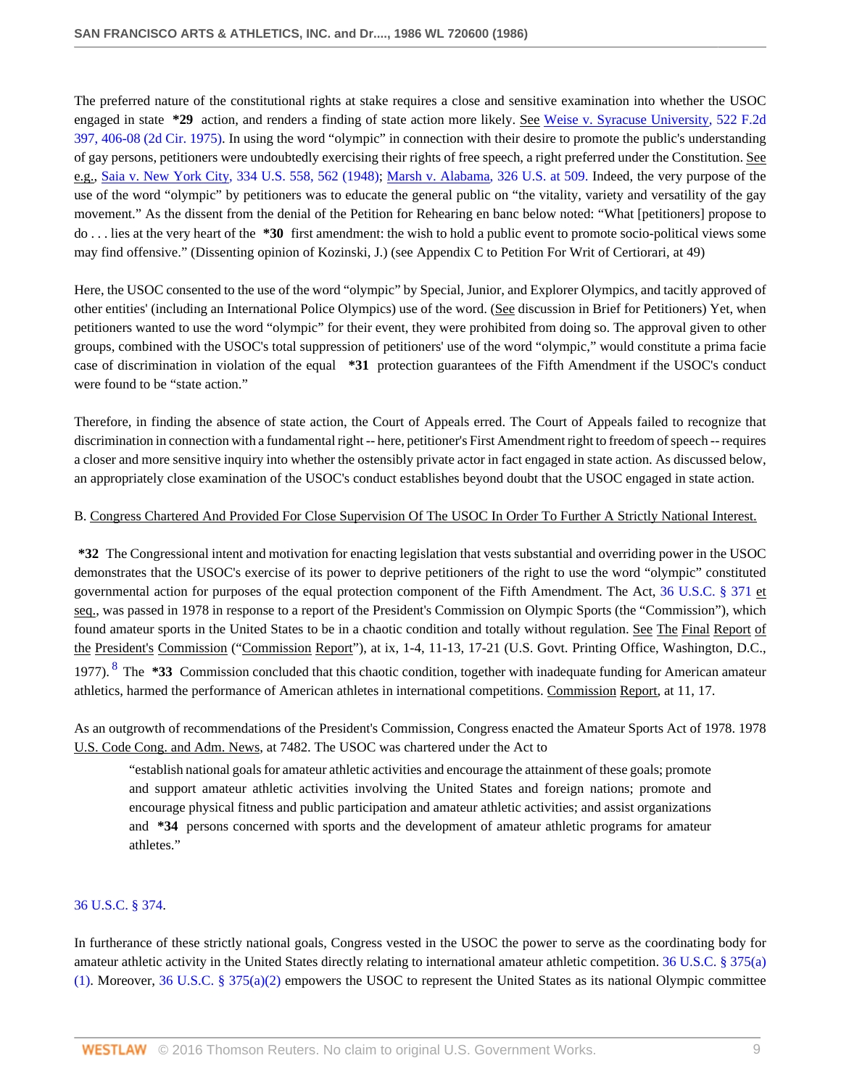The preferred nature of the constitutional rights at stake requires a close and sensitive examination into whether the USOC engaged in state **\*29** action, and renders a finding of state action more likely. See [Weise v. Syracuse University, 522 F.2d](http://www.westlaw.com/Link/Document/FullText?findType=Y&serNum=1975141950&pubNum=350&originatingDoc=Ic7cc1dd16be711d881a4d6ea8dd6dcd8&refType=RP&fi=co_pp_sp_350_406&originationContext=document&vr=3.0&rs=cblt1.0&transitionType=DocumentItem&contextData=(sc.Search)#co_pp_sp_350_406) [397, 406-08 \(2d Cir. 1975\).](http://www.westlaw.com/Link/Document/FullText?findType=Y&serNum=1975141950&pubNum=350&originatingDoc=Ic7cc1dd16be711d881a4d6ea8dd6dcd8&refType=RP&fi=co_pp_sp_350_406&originationContext=document&vr=3.0&rs=cblt1.0&transitionType=DocumentItem&contextData=(sc.Search)#co_pp_sp_350_406) In using the word "olympic" in connection with their desire to promote the public's understanding of gay persons, petitioners were undoubtedly exercising their rights of free speech, a right preferred under the Constitution. See e.g., [Saia v. New York City, 334 U.S. 558, 562 \(1948\)](http://www.westlaw.com/Link/Document/FullText?findType=Y&serNum=1948118302&pubNum=780&originatingDoc=Ic7cc1dd16be711d881a4d6ea8dd6dcd8&refType=RP&fi=co_pp_sp_780_562&originationContext=document&vr=3.0&rs=cblt1.0&transitionType=DocumentItem&contextData=(sc.Search)#co_pp_sp_780_562); [Marsh v. Alabama, 326 U.S. at 509.](http://www.westlaw.com/Link/Document/FullText?findType=Y&serNum=1946114356&pubNum=780&originatingDoc=Ic7cc1dd16be711d881a4d6ea8dd6dcd8&refType=RP&fi=co_pp_sp_780_509&originationContext=document&vr=3.0&rs=cblt1.0&transitionType=DocumentItem&contextData=(sc.Search)#co_pp_sp_780_509) Indeed, the very purpose of the use of the word "olympic" by petitioners was to educate the general public on "the vitality, variety and versatility of the gay movement." As the dissent from the denial of the Petition for Rehearing en banc below noted: "What [petitioners] propose to do . . . lies at the very heart of the **\*30** first amendment: the wish to hold a public event to promote socio-political views some may find offensive." (Dissenting opinion of Kozinski, J.) (see Appendix C to Petition For Writ of Certiorari, at 49)

Here, the USOC consented to the use of the word "olympic" by Special, Junior, and Explorer Olympics, and tacitly approved of other entities' (including an International Police Olympics) use of the word. (See discussion in Brief for Petitioners) Yet, when petitioners wanted to use the word "olympic" for their event, they were prohibited from doing so. The approval given to other groups, combined with the USOC's total suppression of petitioners' use of the word "olympic," would constitute a prima facie case of discrimination in violation of the equal **\*31** protection guarantees of the Fifth Amendment if the USOC's conduct were found to be "state action."

Therefore, in finding the absence of state action, the Court of Appeals erred. The Court of Appeals failed to recognize that discrimination in connection with a fundamental right -- here, petitioner's First Amendment right to freedom of speech -- requires a closer and more sensitive inquiry into whether the ostensibly private actor in fact engaged in state action. As discussed below, an appropriately close examination of the USOC's conduct establishes beyond doubt that the USOC engaged in state action.

## B. Congress Chartered And Provided For Close Supervision Of The USOC In Order To Further A Strictly National Interest.

**\*32** The Congressional intent and motivation for enacting legislation that vests substantial and overriding power in the USOC demonstrates that the USOC's exercise of its power to deprive petitioners of the right to use the word "olympic" constituted governmental action for purposes of the equal protection component of the Fifth Amendment. The Act, [36 U.S.C. § 371](http://www.westlaw.com/Link/Document/FullText?findType=L&pubNum=1000546&cite=36USCAS371&originatingDoc=Ic7cc1dd16be711d881a4d6ea8dd6dcd8&refType=LQ&originationContext=document&vr=3.0&rs=cblt1.0&transitionType=DocumentItem&contextData=(sc.Search)) et seq., was passed in 1978 in response to a report of the President's Commission on Olympic Sports (the "Commission"), which found amateur sports in the United States to be in a chaotic condition and totally without regulation. See The Final Report of the President's Commission ("Commission Report"), at ix, 1-4, 11-13, 17-21 (U.S. Govt. Printing Office, Washington, D.C., 1977). [8](#page-15-8) The **\*33** Commission concluded that this chaotic condition, together with inadequate funding for American amateur athletics, harmed the performance of American athletes in international competitions. Commission Report, at 11, 17.

<span id="page-8-0"></span>As an outgrowth of recommendations of the President's Commission, Congress enacted the Amateur Sports Act of 1978. 1978 U.S. Code Cong. and Adm. News, at 7482. The USOC was chartered under the Act to

"establish national goals for amateur athletic activities and encourage the attainment of these goals; promote and support amateur athletic activities involving the United States and foreign nations; promote and encourage physical fitness and public participation and amateur athletic activities; and assist organizations and **\*34** persons concerned with sports and the development of amateur athletic programs for amateur athletes."

## [36 U.S.C. § 374](http://www.westlaw.com/Link/Document/FullText?findType=L&pubNum=1000546&cite=36USCAS374&originatingDoc=Ic7cc1dd16be711d881a4d6ea8dd6dcd8&refType=LQ&originationContext=document&vr=3.0&rs=cblt1.0&transitionType=DocumentItem&contextData=(sc.Search)).

In furtherance of these strictly national goals, Congress vested in the USOC the power to serve as the coordinating body for amateur athletic activity in the United States directly relating to international amateur athletic competition. [36 U.S.C. § 375\(a\)](http://www.westlaw.com/Link/Document/FullText?findType=L&pubNum=1000546&cite=36USCAS375&originatingDoc=Ic7cc1dd16be711d881a4d6ea8dd6dcd8&refType=LQ&originationContext=document&vr=3.0&rs=cblt1.0&transitionType=DocumentItem&contextData=(sc.Search)) [\(1\).](http://www.westlaw.com/Link/Document/FullText?findType=L&pubNum=1000546&cite=36USCAS375&originatingDoc=Ic7cc1dd16be711d881a4d6ea8dd6dcd8&refType=LQ&originationContext=document&vr=3.0&rs=cblt1.0&transitionType=DocumentItem&contextData=(sc.Search)) Moreover, [36 U.S.C. § 375\(a\)\(2\)](http://www.westlaw.com/Link/Document/FullText?findType=L&pubNum=1000546&cite=36USCAS375&originatingDoc=Ic7cc1dd16be711d881a4d6ea8dd6dcd8&refType=LQ&originationContext=document&vr=3.0&rs=cblt1.0&transitionType=DocumentItem&contextData=(sc.Search)) empowers the USOC to represent the United States as its national Olympic committee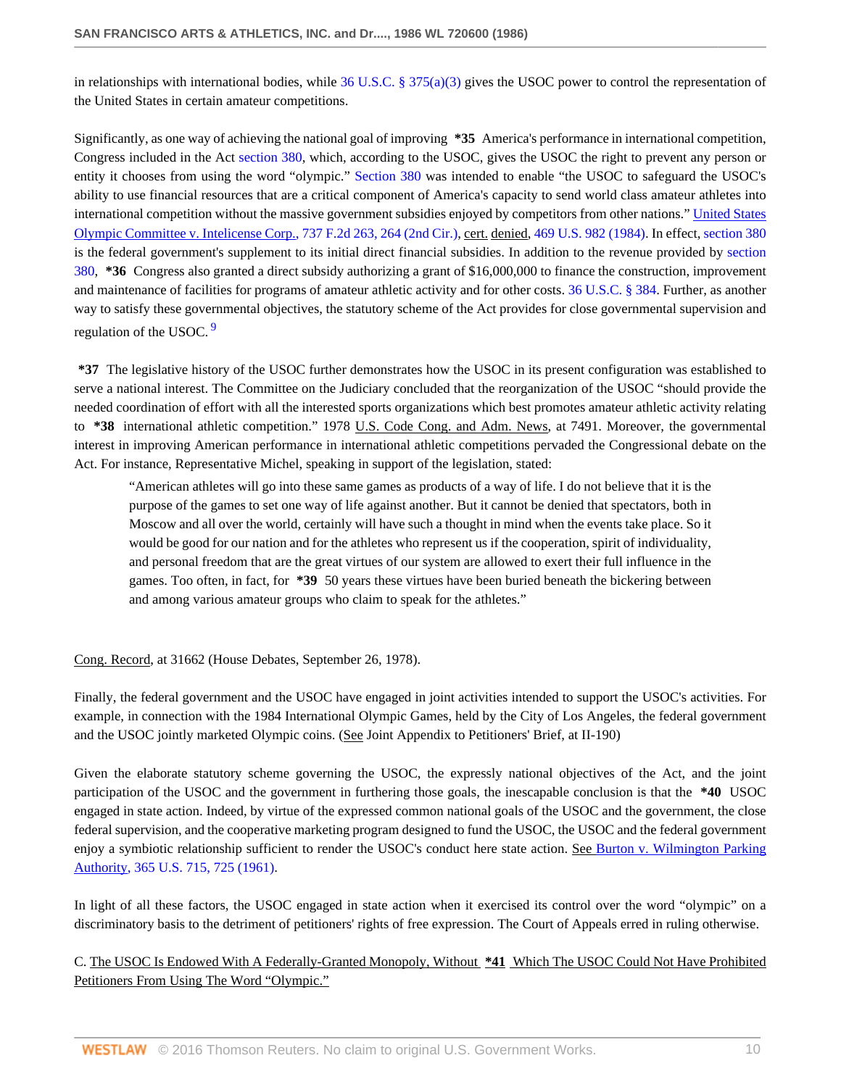in relationships with international bodies, while  $36$  U.S.C. § 375(a)(3) gives the USOC power to control the representation of the United States in certain amateur competitions.

Significantly, as one way of achieving the national goal of improving **\*35** America's performance in international competition, Congress included in the Act [section 380](http://www.westlaw.com/Link/Document/FullText?findType=L&pubNum=1000546&cite=36USCAS380&originatingDoc=Ic7cc1dd16be711d881a4d6ea8dd6dcd8&refType=LQ&originationContext=document&vr=3.0&rs=cblt1.0&transitionType=DocumentItem&contextData=(sc.Search)), which, according to the USOC, gives the USOC the right to prevent any person or entity it chooses from using the word "olympic." [Section 380](http://www.westlaw.com/Link/Document/FullText?findType=L&pubNum=1000546&cite=36USCAS380&originatingDoc=Ic7cc1dd16be711d881a4d6ea8dd6dcd8&refType=LQ&originationContext=document&vr=3.0&rs=cblt1.0&transitionType=DocumentItem&contextData=(sc.Search)) was intended to enable "the USOC to safeguard the USOC's ability to use financial resources that are a critical component of America's capacity to send world class amateur athletes into international competition without the massive government subsidies enjoyed by competitors from other nations." [United States](http://www.westlaw.com/Link/Document/FullText?findType=Y&serNum=1984130714&pubNum=350&originatingDoc=Ic7cc1dd16be711d881a4d6ea8dd6dcd8&refType=RP&fi=co_pp_sp_350_264&originationContext=document&vr=3.0&rs=cblt1.0&transitionType=DocumentItem&contextData=(sc.Search)#co_pp_sp_350_264) [Olympic Committee v. Intelicense Corp., 737 F.2d 263, 264 \(2nd Cir.\)](http://www.westlaw.com/Link/Document/FullText?findType=Y&serNum=1984130714&pubNum=350&originatingDoc=Ic7cc1dd16be711d881a4d6ea8dd6dcd8&refType=RP&fi=co_pp_sp_350_264&originationContext=document&vr=3.0&rs=cblt1.0&transitionType=DocumentItem&contextData=(sc.Search)#co_pp_sp_350_264), cert. denied, [469 U.S. 982 \(1984\).](http://www.westlaw.com/Link/Document/FullText?findType=Y&serNum=1984244908&pubNum=780&originatingDoc=Ic7cc1dd16be711d881a4d6ea8dd6dcd8&refType=RP&originationContext=document&vr=3.0&rs=cblt1.0&transitionType=DocumentItem&contextData=(sc.Search)) In effect, [section 380](http://www.westlaw.com/Link/Document/FullText?findType=L&pubNum=1000546&cite=36USCAS380&originatingDoc=Ic7cc1dd16be711d881a4d6ea8dd6dcd8&refType=LQ&originationContext=document&vr=3.0&rs=cblt1.0&transitionType=DocumentItem&contextData=(sc.Search)) is the federal government's supplement to its initial direct financial subsidies. In addition to the revenue provided by [section](http://www.westlaw.com/Link/Document/FullText?findType=L&pubNum=1000546&cite=36USCAS380&originatingDoc=Ic7cc1dd16be711d881a4d6ea8dd6dcd8&refType=LQ&originationContext=document&vr=3.0&rs=cblt1.0&transitionType=DocumentItem&contextData=(sc.Search)) [380](http://www.westlaw.com/Link/Document/FullText?findType=L&pubNum=1000546&cite=36USCAS380&originatingDoc=Ic7cc1dd16be711d881a4d6ea8dd6dcd8&refType=LQ&originationContext=document&vr=3.0&rs=cblt1.0&transitionType=DocumentItem&contextData=(sc.Search)), **\*36** Congress also granted a direct subsidy authorizing a grant of \$16,000,000 to finance the construction, improvement and maintenance of facilities for programs of amateur athletic activity and for other costs. [36 U.S.C. § 384](http://www.westlaw.com/Link/Document/FullText?findType=L&pubNum=1000546&cite=36USCAS384&originatingDoc=Ic7cc1dd16be711d881a4d6ea8dd6dcd8&refType=LQ&originationContext=document&vr=3.0&rs=cblt1.0&transitionType=DocumentItem&contextData=(sc.Search)). Further, as another way to satisfy these governmental objectives, the statutory scheme of the Act provides for close governmental supervision and regulation of the USOC.<sup>[9](#page-15-9)</sup>

<span id="page-9-0"></span>**\*37** The legislative history of the USOC further demonstrates how the USOC in its present configuration was established to serve a national interest. The Committee on the Judiciary concluded that the reorganization of the USOC "should provide the needed coordination of effort with all the interested sports organizations which best promotes amateur athletic activity relating to **\*38** international athletic competition." 1978 U.S. Code Cong. and Adm. News, at 7491. Moreover, the governmental interest in improving American performance in international athletic competitions pervaded the Congressional debate on the Act. For instance, Representative Michel, speaking in support of the legislation, stated:

"American athletes will go into these same games as products of a way of life. I do not believe that it is the purpose of the games to set one way of life against another. But it cannot be denied that spectators, both in Moscow and all over the world, certainly will have such a thought in mind when the events take place. So it would be good for our nation and for the athletes who represent us if the cooperation, spirit of individuality, and personal freedom that are the great virtues of our system are allowed to exert their full influence in the games. Too often, in fact, for **\*39** 50 years these virtues have been buried beneath the bickering between and among various amateur groups who claim to speak for the athletes."

#### Cong. Record, at 31662 (House Debates, September 26, 1978).

Finally, the federal government and the USOC have engaged in joint activities intended to support the USOC's activities. For example, in connection with the 1984 International Olympic Games, held by the City of Los Angeles, the federal government and the USOC jointly marketed Olympic coins. (See Joint Appendix to Petitioners' Brief, at II-190)

Given the elaborate statutory scheme governing the USOC, the expressly national objectives of the Act, and the joint participation of the USOC and the government in furthering those goals, the inescapable conclusion is that the **\*40** USOC engaged in state action. Indeed, by virtue of the expressed common national goals of the USOC and the government, the close federal supervision, and the cooperative marketing program designed to fund the USOC, the USOC and the federal government enjoy a symbiotic relationship sufficient to render the USOC's conduct here state action. See [Burton v. Wilmington Parking](http://www.westlaw.com/Link/Document/FullText?findType=Y&serNum=1961100551&pubNum=780&originatingDoc=Ic7cc1dd16be711d881a4d6ea8dd6dcd8&refType=RP&fi=co_pp_sp_780_725&originationContext=document&vr=3.0&rs=cblt1.0&transitionType=DocumentItem&contextData=(sc.Search)#co_pp_sp_780_725) [Authority, 365 U.S. 715, 725 \(1961\).](http://www.westlaw.com/Link/Document/FullText?findType=Y&serNum=1961100551&pubNum=780&originatingDoc=Ic7cc1dd16be711d881a4d6ea8dd6dcd8&refType=RP&fi=co_pp_sp_780_725&originationContext=document&vr=3.0&rs=cblt1.0&transitionType=DocumentItem&contextData=(sc.Search)#co_pp_sp_780_725)

In light of all these factors, the USOC engaged in state action when it exercised its control over the word "olympic" on a discriminatory basis to the detriment of petitioners' rights of free expression. The Court of Appeals erred in ruling otherwise.

# C. The USOC Is Endowed With A Federally-Granted Monopoly, Without **\*41** Which The USOC Could Not Have Prohibited Petitioners From Using The Word "Olympic."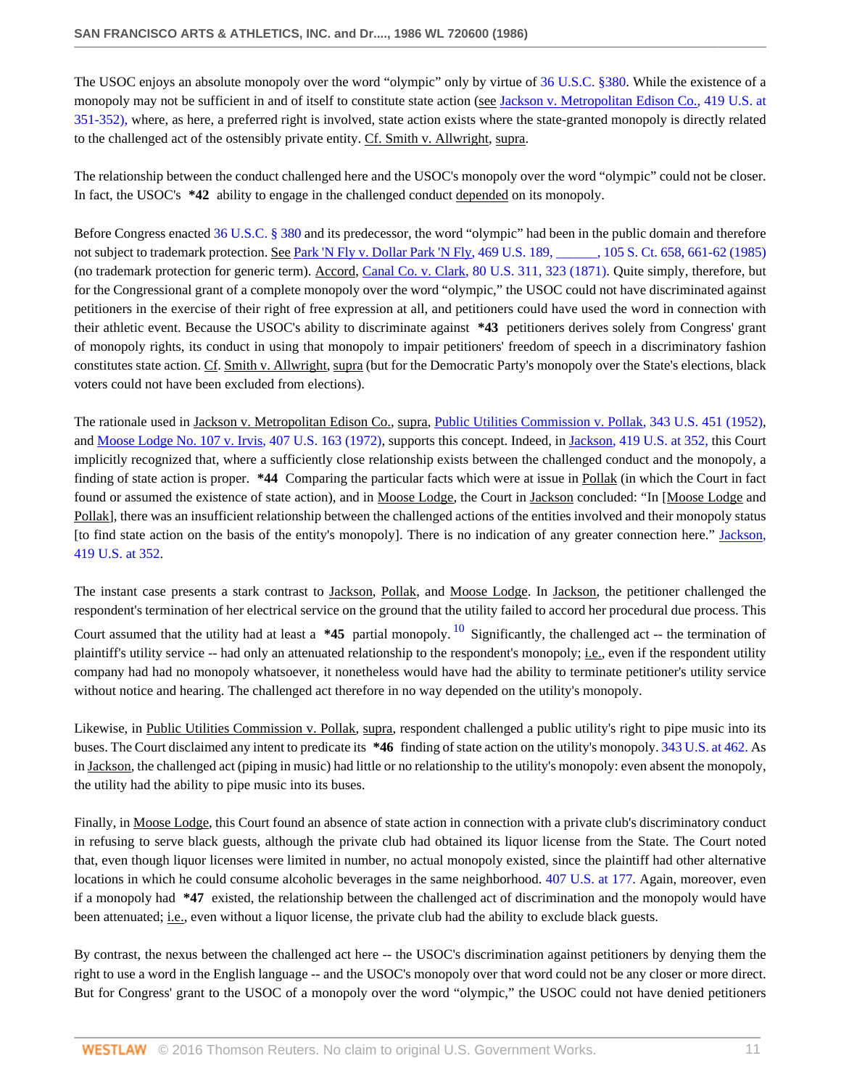The USOC enjoys an absolute monopoly over the word "olympic" only by virtue of [36 U.S.C. §380.](http://www.westlaw.com/Link/Document/FullText?findType=L&pubNum=1000546&cite=36USCAS380&originatingDoc=Ic7cc1dd16be711d881a4d6ea8dd6dcd8&refType=LQ&originationContext=document&vr=3.0&rs=cblt1.0&transitionType=DocumentItem&contextData=(sc.Search)) While the existence of a monopoly may not be sufficient in and of itself to constitute state action (see [Jackson v. Metropolitan Edison Co., 419 U.S. at](http://www.westlaw.com/Link/Document/FullText?findType=Y&serNum=1974138441&pubNum=780&originatingDoc=Ic7cc1dd16be711d881a4d6ea8dd6dcd8&refType=RP&fi=co_pp_sp_780_351&originationContext=document&vr=3.0&rs=cblt1.0&transitionType=DocumentItem&contextData=(sc.Search)#co_pp_sp_780_351) [351-352\),](http://www.westlaw.com/Link/Document/FullText?findType=Y&serNum=1974138441&pubNum=780&originatingDoc=Ic7cc1dd16be711d881a4d6ea8dd6dcd8&refType=RP&fi=co_pp_sp_780_351&originationContext=document&vr=3.0&rs=cblt1.0&transitionType=DocumentItem&contextData=(sc.Search)#co_pp_sp_780_351) where, as here, a preferred right is involved, state action exists where the state-granted monopoly is directly related to the challenged act of the ostensibly private entity. Cf. Smith v. Allwright, supra.

The relationship between the conduct challenged here and the USOC's monopoly over the word "olympic" could not be closer. In fact, the USOC's **\*42** ability to engage in the challenged conduct depended on its monopoly.

Before Congress enacted [36 U.S.C. § 380](http://www.westlaw.com/Link/Document/FullText?findType=L&pubNum=1000546&cite=36USCAS380&originatingDoc=Ic7cc1dd16be711d881a4d6ea8dd6dcd8&refType=LQ&originationContext=document&vr=3.0&rs=cblt1.0&transitionType=DocumentItem&contextData=(sc.Search)) and its predecessor, the word "olympic" had been in the public domain and therefore not subject to trademark protection. See Park 'N Fly v. Dollar Park 'N Fly, 469 U.S. 189, and 105 S. Ct. 658, 661-62 (1985) (no trademark protection for generic term). Accord, [Canal Co. v. Clark, 80 U.S. 311, 323 \(1871\).](http://www.westlaw.com/Link/Document/FullText?findType=Y&serNum=1871193060&pubNum=780&originatingDoc=Ic7cc1dd16be711d881a4d6ea8dd6dcd8&refType=RP&fi=co_pp_sp_780_323&originationContext=document&vr=3.0&rs=cblt1.0&transitionType=DocumentItem&contextData=(sc.Search)#co_pp_sp_780_323) Quite simply, therefore, but for the Congressional grant of a complete monopoly over the word "olympic," the USOC could not have discriminated against petitioners in the exercise of their right of free expression at all, and petitioners could have used the word in connection with their athletic event. Because the USOC's ability to discriminate against **\*43** petitioners derives solely from Congress' grant of monopoly rights, its conduct in using that monopoly to impair petitioners' freedom of speech in a discriminatory fashion constitutes state action. Cf. Smith v. Allwright, supra (but for the Democratic Party's monopoly over the State's elections, black voters could not have been excluded from elections).

The rationale used in Jackson v. Metropolitan Edison Co., supra, [Public Utilities Commission v. Pollak, 343 U.S. 451 \(1952\)](http://www.westlaw.com/Link/Document/FullText?findType=Y&serNum=1952118791&pubNum=780&originatingDoc=Ic7cc1dd16be711d881a4d6ea8dd6dcd8&refType=RP&originationContext=document&vr=3.0&rs=cblt1.0&transitionType=DocumentItem&contextData=(sc.Search)), and [Moose Lodge No. 107 v. Irvis, 407 U.S. 163 \(1972\)](http://www.westlaw.com/Link/Document/FullText?findType=Y&serNum=1972127149&pubNum=780&originatingDoc=Ic7cc1dd16be711d881a4d6ea8dd6dcd8&refType=RP&originationContext=document&vr=3.0&rs=cblt1.0&transitionType=DocumentItem&contextData=(sc.Search)), supports this concept. Indeed, in [Jackson, 419 U.S. at 352,](http://www.westlaw.com/Link/Document/FullText?findType=Y&serNum=1974138441&pubNum=780&originatingDoc=Ic7cc1dd16be711d881a4d6ea8dd6dcd8&refType=RP&fi=co_pp_sp_780_352&originationContext=document&vr=3.0&rs=cblt1.0&transitionType=DocumentItem&contextData=(sc.Search)#co_pp_sp_780_352) this Court implicitly recognized that, where a sufficiently close relationship exists between the challenged conduct and the monopoly, a finding of state action is proper. **\*44** Comparing the particular facts which were at issue in Pollak (in which the Court in fact found or assumed the existence of state action), and in Moose Lodge, the Court in Jackson concluded: "In [Moose Lodge and Pollak], there was an insufficient relationship between the challenged actions of the entities involved and their monopoly status [to find state action on the basis of the entity's monopoly]. There is no indication of any greater connection here." [Jackson,](http://www.westlaw.com/Link/Document/FullText?findType=Y&serNum=1974138441&pubNum=780&originatingDoc=Ic7cc1dd16be711d881a4d6ea8dd6dcd8&refType=RP&fi=co_pp_sp_780_352&originationContext=document&vr=3.0&rs=cblt1.0&transitionType=DocumentItem&contextData=(sc.Search)#co_pp_sp_780_352) [419 U.S. at 352](http://www.westlaw.com/Link/Document/FullText?findType=Y&serNum=1974138441&pubNum=780&originatingDoc=Ic7cc1dd16be711d881a4d6ea8dd6dcd8&refType=RP&fi=co_pp_sp_780_352&originationContext=document&vr=3.0&rs=cblt1.0&transitionType=DocumentItem&contextData=(sc.Search)#co_pp_sp_780_352).

<span id="page-10-0"></span>The instant case presents a stark contrast to Jackson, Pollak, and Moose Lodge. In Jackson, the petitioner challenged the respondent's termination of her electrical service on the ground that the utility failed to accord her procedural due process. This Court assumed that the utility had at least a **\*45** partial monopoly. [10](#page-15-10) Significantly, the challenged act -- the termination of plaintiff's utility service -- had only an attenuated relationship to the respondent's monopoly; i.e., even if the respondent utility company had had no monopoly whatsoever, it nonetheless would have had the ability to terminate petitioner's utility service without notice and hearing. The challenged act therefore in no way depended on the utility's monopoly.

Likewise, in Public Utilities Commission v. Pollak, supra, respondent challenged a public utility's right to pipe music into its buses. The Court disclaimed any intent to predicate its **\*46** finding of state action on the utility's monopoly. [343 U.S. at 462.](http://www.westlaw.com/Link/Document/FullText?findType=Y&serNum=1952118791&pubNum=780&originatingDoc=Ic7cc1dd16be711d881a4d6ea8dd6dcd8&refType=RP&fi=co_pp_sp_780_462&originationContext=document&vr=3.0&rs=cblt1.0&transitionType=DocumentItem&contextData=(sc.Search)#co_pp_sp_780_462) As in Jackson, the challenged act (piping in music) had little or no relationship to the utility's monopoly: even absent the monopoly, the utility had the ability to pipe music into its buses.

Finally, in Moose Lodge, this Court found an absence of state action in connection with a private club's discriminatory conduct in refusing to serve black guests, although the private club had obtained its liquor license from the State. The Court noted that, even though liquor licenses were limited in number, no actual monopoly existed, since the plaintiff had other alternative locations in which he could consume alcoholic beverages in the same neighborhood. [407 U.S. at 177.](http://www.westlaw.com/Link/Document/FullText?findType=Y&serNum=1972127149&pubNum=780&originatingDoc=Ic7cc1dd16be711d881a4d6ea8dd6dcd8&refType=RP&fi=co_pp_sp_780_177&originationContext=document&vr=3.0&rs=cblt1.0&transitionType=DocumentItem&contextData=(sc.Search)#co_pp_sp_780_177) Again, moreover, even if a monopoly had **\*47** existed, the relationship between the challenged act of discrimination and the monopoly would have been attenuated; i.e., even without a liquor license, the private club had the ability to exclude black guests.

By contrast, the nexus between the challenged act here -- the USOC's discrimination against petitioners by denying them the right to use a word in the English language -- and the USOC's monopoly over that word could not be any closer or more direct. But for Congress' grant to the USOC of a monopoly over the word "olympic," the USOC could not have denied petitioners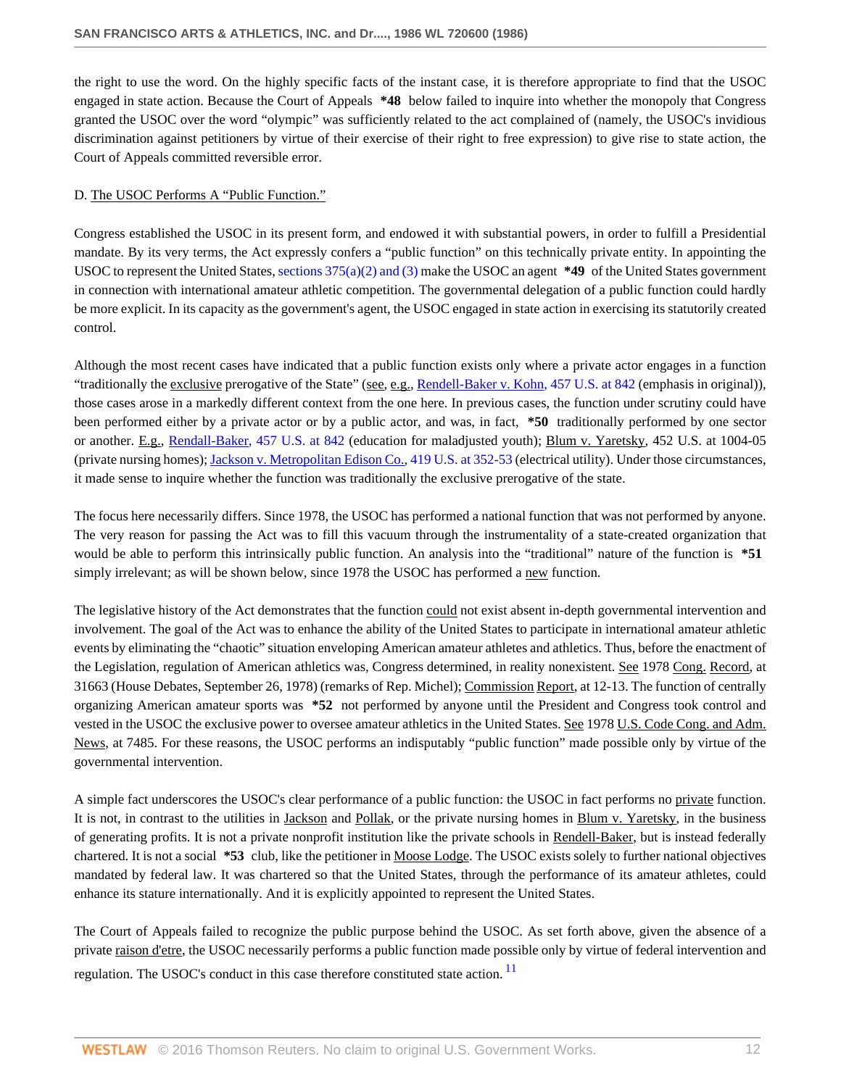the right to use the word. On the highly specific facts of the instant case, it is therefore appropriate to find that the USOC engaged in state action. Because the Court of Appeals **\*48** below failed to inquire into whether the monopoly that Congress granted the USOC over the word "olympic" was sufficiently related to the act complained of (namely, the USOC's invidious discrimination against petitioners by virtue of their exercise of their right to free expression) to give rise to state action, the Court of Appeals committed reversible error.

## D. The USOC Performs A "Public Function."

Congress established the USOC in its present form, and endowed it with substantial powers, in order to fulfill a Presidential mandate. By its very terms, the Act expressly confers a "public function" on this technically private entity. In appointing the USOC to represent the United States, [sections 375\(a\)\(2\) and \(3\)](http://www.westlaw.com/Link/Document/FullText?findType=L&pubNum=1000546&cite=36USCAS375&originatingDoc=Ic7cc1dd16be711d881a4d6ea8dd6dcd8&refType=LQ&originationContext=document&vr=3.0&rs=cblt1.0&transitionType=DocumentItem&contextData=(sc.Search)) make the USOC an agent **\*49** of the United States government in connection with international amateur athletic competition. The governmental delegation of a public function could hardly be more explicit. In its capacity as the government's agent, the USOC engaged in state action in exercising its statutorily created control.

Although the most recent cases have indicated that a public function exists only where a private actor engages in a function "traditionally the exclusive prerogative of the State" (see, e.g., [Rendell-Baker v. Kohn, 457 U.S. at 842](http://www.westlaw.com/Link/Document/FullText?findType=Y&serNum=1982128845&pubNum=780&originatingDoc=Ic7cc1dd16be711d881a4d6ea8dd6dcd8&refType=RP&fi=co_pp_sp_780_842&originationContext=document&vr=3.0&rs=cblt1.0&transitionType=DocumentItem&contextData=(sc.Search)#co_pp_sp_780_842) (emphasis in original)), those cases arose in a markedly different context from the one here. In previous cases, the function under scrutiny could have been performed either by a private actor or by a public actor, and was, in fact, **\*50** traditionally performed by one sector or another. E.g., [Rendall-Baker, 457 U.S. at 842](http://www.westlaw.com/Link/Document/FullText?findType=Y&serNum=1982128845&pubNum=780&originatingDoc=Ic7cc1dd16be711d881a4d6ea8dd6dcd8&refType=RP&fi=co_pp_sp_780_842&originationContext=document&vr=3.0&rs=cblt1.0&transitionType=DocumentItem&contextData=(sc.Search)#co_pp_sp_780_842) (education for maladjusted youth); Blum v. Yaretsky, 452 U.S. at 1004-05 (private nursing homes); [Jackson v. Metropolitan Edison Co., 419 U.S. at 352-53](http://www.westlaw.com/Link/Document/FullText?findType=Y&serNum=1974138441&pubNum=780&originatingDoc=Ic7cc1dd16be711d881a4d6ea8dd6dcd8&refType=RP&fi=co_pp_sp_780_352&originationContext=document&vr=3.0&rs=cblt1.0&transitionType=DocumentItem&contextData=(sc.Search)#co_pp_sp_780_352) (electrical utility). Under those circumstances, it made sense to inquire whether the function was traditionally the exclusive prerogative of the state.

The focus here necessarily differs. Since 1978, the USOC has performed a national function that was not performed by anyone. The very reason for passing the Act was to fill this vacuum through the instrumentality of a state-created organization that would be able to perform this intrinsically public function. An analysis into the "traditional" nature of the function is **\*51** simply irrelevant; as will be shown below, since 1978 the USOC has performed a new function.

The legislative history of the Act demonstrates that the function could not exist absent in-depth governmental intervention and involvement. The goal of the Act was to enhance the ability of the United States to participate in international amateur athletic events by eliminating the "chaotic" situation enveloping American amateur athletes and athletics. Thus, before the enactment of the Legislation, regulation of American athletics was, Congress determined, in reality nonexistent. See 1978 Cong. Record, at 31663 (House Debates, September 26, 1978) (remarks of Rep. Michel); Commission Report, at 12-13. The function of centrally organizing American amateur sports was **\*52** not performed by anyone until the President and Congress took control and vested in the USOC the exclusive power to oversee amateur athletics in the United States. See 1978 U.S. Code Cong. and Adm. News, at 7485. For these reasons, the USOC performs an indisputably "public function" made possible only by virtue of the governmental intervention.

A simple fact underscores the USOC's clear performance of a public function: the USOC in fact performs no private function. It is not, in contrast to the utilities in Jackson and Pollak, or the private nursing homes in Blum v. Yaretsky, in the business of generating profits. It is not a private nonprofit institution like the private schools in Rendell-Baker, but is instead federally chartered. It is not a social **\*53** club, like the petitioner in Moose Lodge. The USOC exists solely to further national objectives mandated by federal law. It was chartered so that the United States, through the performance of its amateur athletes, could enhance its stature internationally. And it is explicitly appointed to represent the United States.

<span id="page-11-0"></span>The Court of Appeals failed to recognize the public purpose behind the USOC. As set forth above, given the absence of a private raison d'etre, the USOC necessarily performs a public function made possible only by virtue of federal intervention and regulation. The USOC's conduct in this case therefore constituted state action.<sup>[11](#page-15-11)</sup>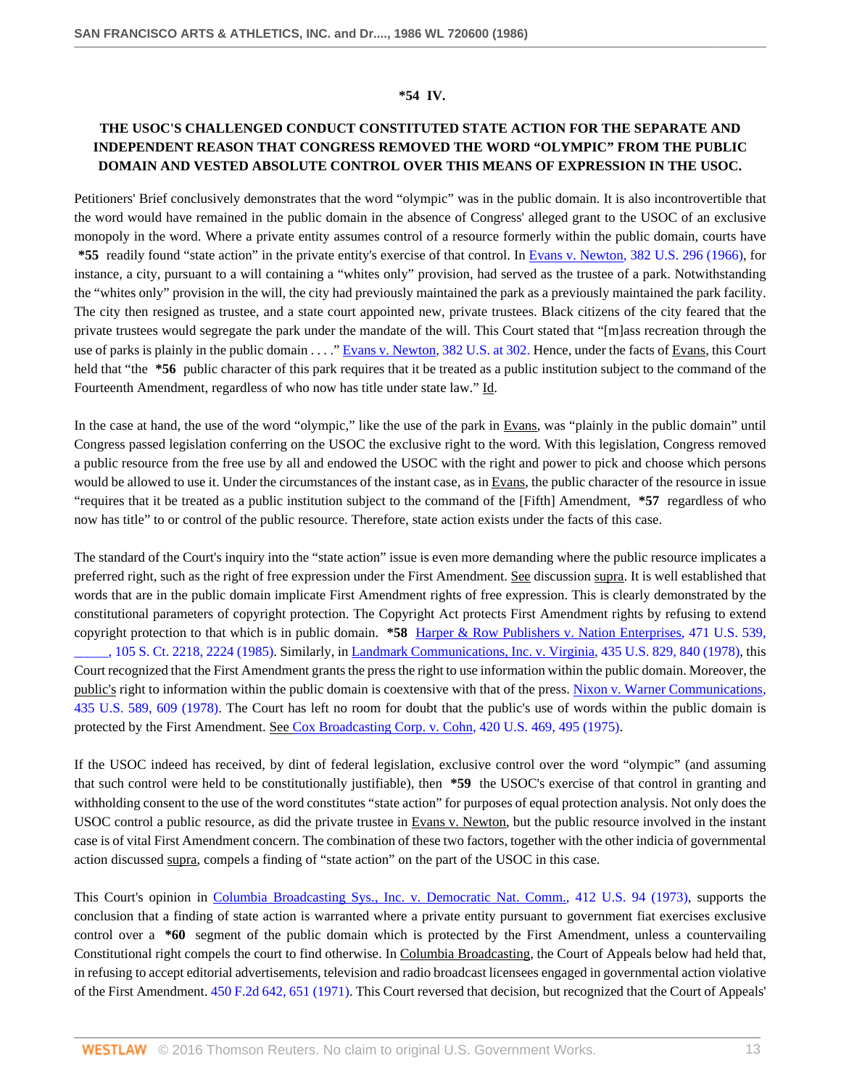### **\*54 IV.**

# **THE USOC'S CHALLENGED CONDUCT CONSTITUTED STATE ACTION FOR THE SEPARATE AND INDEPENDENT REASON THAT CONGRESS REMOVED THE WORD "OLYMPIC" FROM THE PUBLIC DOMAIN AND VESTED ABSOLUTE CONTROL OVER THIS MEANS OF EXPRESSION IN THE USOC.**

Petitioners' Brief conclusively demonstrates that the word "olympic" was in the public domain. It is also incontrovertible that the word would have remained in the public domain in the absence of Congress' alleged grant to the USOC of an exclusive monopoly in the word. Where a private entity assumes control of a resource formerly within the public domain, courts have **\*55** readily found "state action" in the private entity's exercise of that control. In [Evans v. Newton, 382 U.S. 296 \(1966\)](http://www.westlaw.com/Link/Document/FullText?findType=Y&serNum=1966101653&pubNum=780&originatingDoc=Ic7cc1dd16be711d881a4d6ea8dd6dcd8&refType=RP&originationContext=document&vr=3.0&rs=cblt1.0&transitionType=DocumentItem&contextData=(sc.Search)), for instance, a city, pursuant to a will containing a "whites only" provision, had served as the trustee of a park. Notwithstanding the "whites only" provision in the will, the city had previously maintained the park as a previously maintained the park facility. The city then resigned as trustee, and a state court appointed new, private trustees. Black citizens of the city feared that the private trustees would segregate the park under the mandate of the will. This Court stated that "[m]ass recreation through the use of parks is plainly in the public domain . . . ." [Evans v. Newton, 382 U.S. at 302.](http://www.westlaw.com/Link/Document/FullText?findType=Y&serNum=1966101653&pubNum=780&originatingDoc=Ic7cc1dd16be711d881a4d6ea8dd6dcd8&refType=RP&fi=co_pp_sp_780_302&originationContext=document&vr=3.0&rs=cblt1.0&transitionType=DocumentItem&contextData=(sc.Search)#co_pp_sp_780_302) Hence, under the facts of Evans, this Court held that "the **\*56** public character of this park requires that it be treated as a public institution subject to the command of the Fourteenth Amendment, regardless of who now has title under state law." Id.

In the case at hand, the use of the word "olympic," like the use of the park in Evans, was "plainly in the public domain" until Congress passed legislation conferring on the USOC the exclusive right to the word. With this legislation, Congress removed a public resource from the free use by all and endowed the USOC with the right and power to pick and choose which persons would be allowed to use it. Under the circumstances of the instant case, as in Evans, the public character of the resource in issue "requires that it be treated as a public institution subject to the command of the [Fifth] Amendment, **\*57** regardless of who now has title" to or control of the public resource. Therefore, state action exists under the facts of this case.

The standard of the Court's inquiry into the "state action" issue is even more demanding where the public resource implicates a preferred right, such as the right of free expression under the First Amendment. See discussion supra. It is well established that words that are in the public domain implicate First Amendment rights of free expression. This is clearly demonstrated by the constitutional parameters of copyright protection. The Copyright Act protects First Amendment rights by refusing to extend copyright protection to that which is in public domain. **\*58** [Harper & Row Publishers v. Nation Enterprises, 471 U.S. 539,](http://www.westlaw.com/Link/Document/FullText?findType=Y&serNum=1985125844&pubNum=708&originatingDoc=Ic7cc1dd16be711d881a4d6ea8dd6dcd8&refType=RP&fi=co_pp_sp_708_2224&originationContext=document&vr=3.0&rs=cblt1.0&transitionType=DocumentItem&contextData=(sc.Search)#co_pp_sp_708_2224) [\\_\\_\\_\\_\\_, 105 S. Ct. 2218, 2224 \(1985\)](http://www.westlaw.com/Link/Document/FullText?findType=Y&serNum=1985125844&pubNum=708&originatingDoc=Ic7cc1dd16be711d881a4d6ea8dd6dcd8&refType=RP&fi=co_pp_sp_708_2224&originationContext=document&vr=3.0&rs=cblt1.0&transitionType=DocumentItem&contextData=(sc.Search)#co_pp_sp_708_2224). Similarly, in [Landmark Communications, Inc. v. Virginia, 435 U.S. 829, 840 \(1978\),](http://www.westlaw.com/Link/Document/FullText?findType=Y&serNum=1978114224&pubNum=780&originatingDoc=Ic7cc1dd16be711d881a4d6ea8dd6dcd8&refType=RP&fi=co_pp_sp_780_840&originationContext=document&vr=3.0&rs=cblt1.0&transitionType=DocumentItem&contextData=(sc.Search)#co_pp_sp_780_840) this Court recognized that the First Amendment grants the press the right to use information within the public domain. Moreover, the public's right to information within the public domain is coextensive with that of the press. [Nixon v. Warner Communications,](http://www.westlaw.com/Link/Document/FullText?findType=Y&serNum=1978114217&pubNum=780&originatingDoc=Ic7cc1dd16be711d881a4d6ea8dd6dcd8&refType=RP&fi=co_pp_sp_780_609&originationContext=document&vr=3.0&rs=cblt1.0&transitionType=DocumentItem&contextData=(sc.Search)#co_pp_sp_780_609) [435 U.S. 589, 609 \(1978\)](http://www.westlaw.com/Link/Document/FullText?findType=Y&serNum=1978114217&pubNum=780&originatingDoc=Ic7cc1dd16be711d881a4d6ea8dd6dcd8&refType=RP&fi=co_pp_sp_780_609&originationContext=document&vr=3.0&rs=cblt1.0&transitionType=DocumentItem&contextData=(sc.Search)#co_pp_sp_780_609). The Court has left no room for doubt that the public's use of words within the public domain is protected by the First Amendment. See [Cox Broadcasting Corp. v. Cohn, 420 U.S. 469, 495 \(1975\)](http://www.westlaw.com/Link/Document/FullText?findType=Y&serNum=1975129744&pubNum=780&originatingDoc=Ic7cc1dd16be711d881a4d6ea8dd6dcd8&refType=RP&fi=co_pp_sp_780_495&originationContext=document&vr=3.0&rs=cblt1.0&transitionType=DocumentItem&contextData=(sc.Search)#co_pp_sp_780_495).

If the USOC indeed has received, by dint of federal legislation, exclusive control over the word "olympic" (and assuming that such control were held to be constitutionally justifiable), then **\*59** the USOC's exercise of that control in granting and withholding consent to the use of the word constitutes "state action" for purposes of equal protection analysis. Not only does the USOC control a public resource, as did the private trustee in Evans v. Newton, but the public resource involved in the instant case is of vital First Amendment concern. The combination of these two factors, together with the other indicia of governmental action discussed supra, compels a finding of "state action" on the part of the USOC in this case.

This Court's opinion in [Columbia Broadcasting Sys., Inc. v. Democratic Nat. Comm., 412 U.S. 94 \(1973\)](http://www.westlaw.com/Link/Document/FullText?findType=Y&serNum=1973126406&pubNum=780&originatingDoc=Ic7cc1dd16be711d881a4d6ea8dd6dcd8&refType=RP&originationContext=document&vr=3.0&rs=cblt1.0&transitionType=DocumentItem&contextData=(sc.Search)), supports the conclusion that a finding of state action is warranted where a private entity pursuant to government fiat exercises exclusive control over a **\*60** segment of the public domain which is protected by the First Amendment, unless a countervailing Constitutional right compels the court to find otherwise. In Columbia Broadcasting, the Court of Appeals below had held that, in refusing to accept editorial advertisements, television and radio broadcast licensees engaged in governmental action violative of the First Amendment. [450 F.2d 642, 651 \(1971\).](http://www.westlaw.com/Link/Document/FullText?findType=Y&serNum=1971113079&pubNum=350&originatingDoc=Ic7cc1dd16be711d881a4d6ea8dd6dcd8&refType=RP&fi=co_pp_sp_350_651&originationContext=document&vr=3.0&rs=cblt1.0&transitionType=DocumentItem&contextData=(sc.Search)#co_pp_sp_350_651) This Court reversed that decision, but recognized that the Court of Appeals'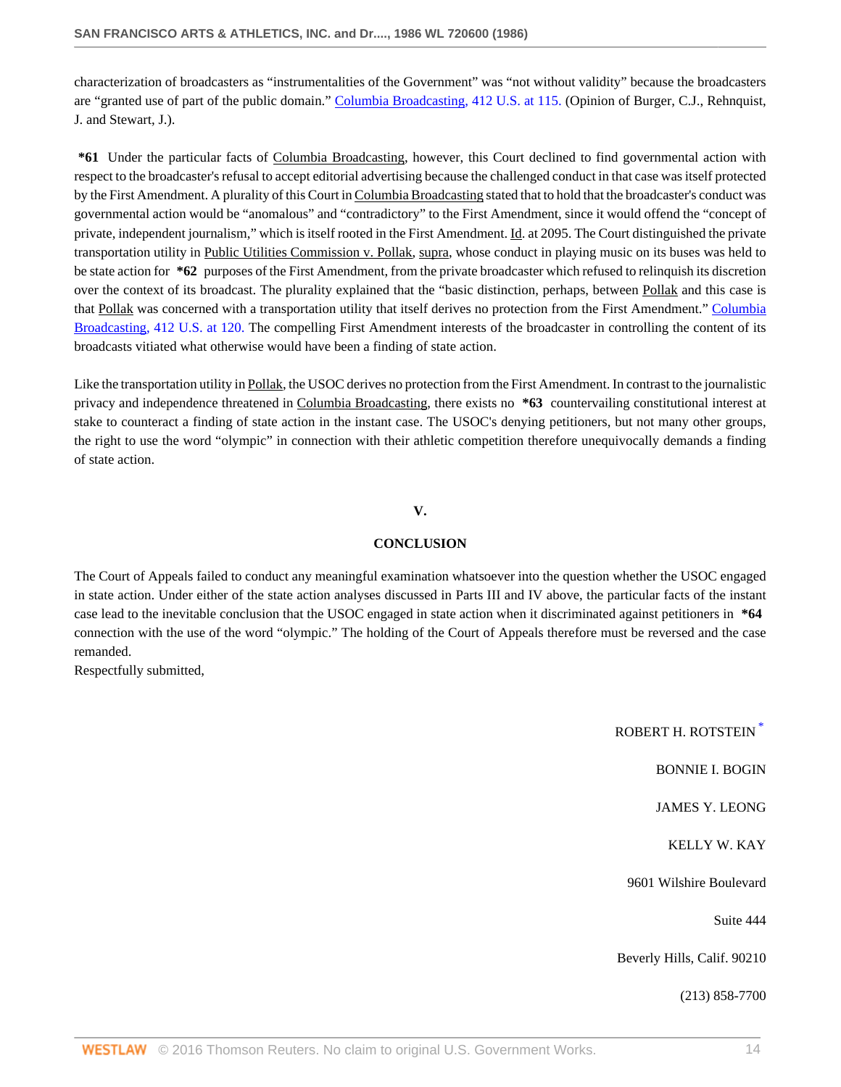characterization of broadcasters as "instrumentalities of the Government" was "not without validity" because the broadcasters are "granted use of part of the public domain." [Columbia Broadcasting, 412 U.S. at 115.](http://www.westlaw.com/Link/Document/FullText?findType=Y&serNum=1973126406&pubNum=780&originatingDoc=Ic7cc1dd16be711d881a4d6ea8dd6dcd8&refType=RP&fi=co_pp_sp_780_115&originationContext=document&vr=3.0&rs=cblt1.0&transitionType=DocumentItem&contextData=(sc.Search)#co_pp_sp_780_115) (Opinion of Burger, C.J., Rehnquist, J. and Stewart, J.).

**\*61** Under the particular facts of Columbia Broadcasting, however, this Court declined to find governmental action with respect to the broadcaster's refusal to accept editorial advertising because the challenged conduct in that case was itself protected by the First Amendment. A plurality of this Court in Columbia Broadcasting stated that to hold that the broadcaster's conduct was governmental action would be "anomalous" and "contradictory" to the First Amendment, since it would offend the "concept of private, independent journalism," which is itself rooted in the First Amendment. Id. at 2095. The Court distinguished the private transportation utility in Public Utilities Commission v. Pollak, supra, whose conduct in playing music on its buses was held to be state action for **\*62** purposes of the First Amendment, from the private broadcaster which refused to relinquish its discretion over the context of its broadcast. The plurality explained that the "basic distinction, perhaps, between Pollak and this case is that Pollak was concerned with a transportation utility that itself derives no protection from the First Amendment." [Columbia](http://www.westlaw.com/Link/Document/FullText?findType=Y&serNum=1973126406&pubNum=780&originatingDoc=Ic7cc1dd16be711d881a4d6ea8dd6dcd8&refType=RP&fi=co_pp_sp_780_120&originationContext=document&vr=3.0&rs=cblt1.0&transitionType=DocumentItem&contextData=(sc.Search)#co_pp_sp_780_120) [Broadcasting, 412 U.S. at 120.](http://www.westlaw.com/Link/Document/FullText?findType=Y&serNum=1973126406&pubNum=780&originatingDoc=Ic7cc1dd16be711d881a4d6ea8dd6dcd8&refType=RP&fi=co_pp_sp_780_120&originationContext=document&vr=3.0&rs=cblt1.0&transitionType=DocumentItem&contextData=(sc.Search)#co_pp_sp_780_120) The compelling First Amendment interests of the broadcaster in controlling the content of its broadcasts vitiated what otherwise would have been a finding of state action.

Like the transportation utility in Pollak, the USOC derives no protection from the First Amendment. In contrast to the journalistic privacy and independence threatened in Columbia Broadcasting, there exists no **\*63** countervailing constitutional interest at stake to counteract a finding of state action in the instant case. The USOC's denying petitioners, but not many other groups, the right to use the word "olympic" in connection with their athletic competition therefore unequivocally demands a finding of state action.

## **V.**

### **CONCLUSION**

The Court of Appeals failed to conduct any meaningful examination whatsoever into the question whether the USOC engaged in state action. Under either of the state action analyses discussed in Parts III and IV above, the particular facts of the instant case lead to the inevitable conclusion that the USOC engaged in state action when it discriminated against petitioners in **\*64** connection with the use of the word "olympic." The holding of the Court of Appeals therefore must be reversed and the case remanded.

Respectfully submitted,

ROBERT H. ROTSTEIN [\\*](#page-15-0) BONNIE I. BOGIN JAMES Y. LEONG KELLY W. KAY 9601 Wilshire Boulevard Suite 444 Beverly Hills, Calif. 90210 (213) 858-7700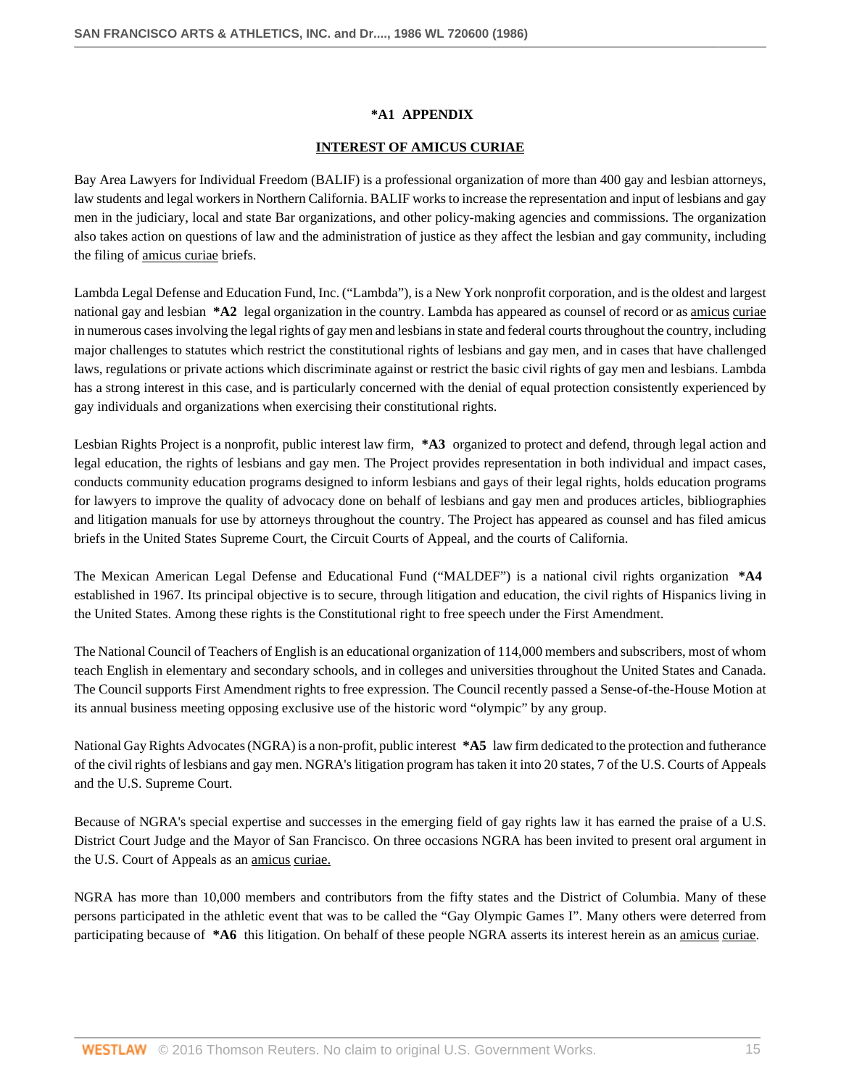## **\*A1 APPENDIX**

### **INTEREST OF AMICUS CURIAE**

Bay Area Lawyers for Individual Freedom (BALIF) is a professional organization of more than 400 gay and lesbian attorneys, law students and legal workers in Northern California. BALIF works to increase the representation and input of lesbians and gay men in the judiciary, local and state Bar organizations, and other policy-making agencies and commissions. The organization also takes action on questions of law and the administration of justice as they affect the lesbian and gay community, including the filing of amicus curiae briefs.

Lambda Legal Defense and Education Fund, Inc. ("Lambda"), is a New York nonprofit corporation, and is the oldest and largest national gay and lesbian **\*A2** legal organization in the country. Lambda has appeared as counsel of record or as amicus curiae in numerous cases involving the legal rights of gay men and lesbians in state and federal courts throughout the country, including major challenges to statutes which restrict the constitutional rights of lesbians and gay men, and in cases that have challenged laws, regulations or private actions which discriminate against or restrict the basic civil rights of gay men and lesbians. Lambda has a strong interest in this case, and is particularly concerned with the denial of equal protection consistently experienced by gay individuals and organizations when exercising their constitutional rights.

Lesbian Rights Project is a nonprofit, public interest law firm, **\*A3** organized to protect and defend, through legal action and legal education, the rights of lesbians and gay men. The Project provides representation in both individual and impact cases, conducts community education programs designed to inform lesbians and gays of their legal rights, holds education programs for lawyers to improve the quality of advocacy done on behalf of lesbians and gay men and produces articles, bibliographies and litigation manuals for use by attorneys throughout the country. The Project has appeared as counsel and has filed amicus briefs in the United States Supreme Court, the Circuit Courts of Appeal, and the courts of California.

The Mexican American Legal Defense and Educational Fund ("MALDEF") is a national civil rights organization **\*A4** established in 1967. Its principal objective is to secure, through litigation and education, the civil rights of Hispanics living in the United States. Among these rights is the Constitutional right to free speech under the First Amendment.

The National Council of Teachers of English is an educational organization of 114,000 members and subscribers, most of whom teach English in elementary and secondary schools, and in colleges and universities throughout the United States and Canada. The Council supports First Amendment rights to free expression. The Council recently passed a Sense-of-the-House Motion at its annual business meeting opposing exclusive use of the historic word "olympic" by any group.

National Gay Rights Advocates (NGRA) is a non-profit, public interest **\*A5** law firm dedicated to the protection and futherance of the civil rights of lesbians and gay men. NGRA's litigation program has taken it into 20 states, 7 of the U.S. Courts of Appeals and the U.S. Supreme Court.

Because of NGRA's special expertise and successes in the emerging field of gay rights law it has earned the praise of a U.S. District Court Judge and the Mayor of San Francisco. On three occasions NGRA has been invited to present oral argument in the U.S. Court of Appeals as an amicus curiae.

NGRA has more than 10,000 members and contributors from the fifty states and the District of Columbia. Many of these persons participated in the athletic event that was to be called the "Gay Olympic Games I". Many others were deterred from participating because of **\*A6** this litigation. On behalf of these people NGRA asserts its interest herein as an amicus curiae.